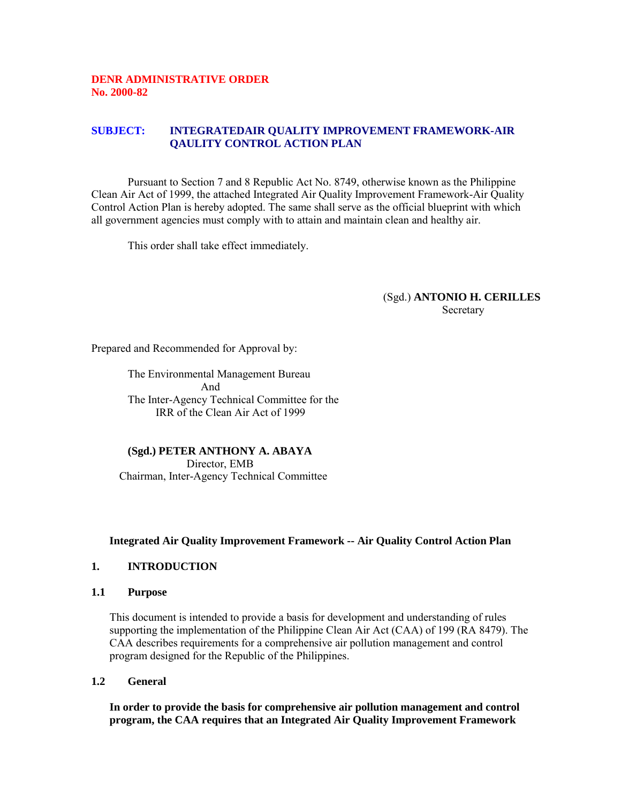### **DENR ADMINISTRATIVE ORDER No. 2000-82**

## **SUBJECT: INTEGRATEDAIR QUALITY IMPROVEMENT FRAMEWORK-AIR QAULITY CONTROL ACTION PLAN**

Pursuant to Section 7 and 8 Republic Act No. 8749, otherwise known as the Philippine Clean Air Act of 1999, the attached Integrated Air Quality Improvement Framework-Air Quality Control Action Plan is hereby adopted. The same shall serve as the official blueprint with which all government agencies must comply with to attain and maintain clean and healthy air.

This order shall take effect immediately.

#### (Sgd.) **ANTONIO H. CERILLES Secretary**

Prepared and Recommended for Approval by:

The Environmental Management Bureau And The Inter-Agency Technical Committee for the IRR of the Clean Air Act of 1999

**(Sgd.) PETER ANTHONY A. ABAYA** Director, EMB Chairman, Inter-Agency Technical Committee

#### **Integrated Air Quality Improvement Framework -- Air Quality Control Action Plan**

#### **1. INTRODUCTION**

#### **1.1 Purpose**

This document is intended to provide a basis for development and understanding of rules supporting the implementation of the Philippine Clean Air Act (CAA) of 199 (RA 8479). The CAA describes requirements for a comprehensive air pollution management and control program designed for the Republic of the Philippines.

**1.2 General**

**In order to provide the basis for comprehensive air pollution management and control program, the CAA requires that an Integrated Air Quality Improvement Framework**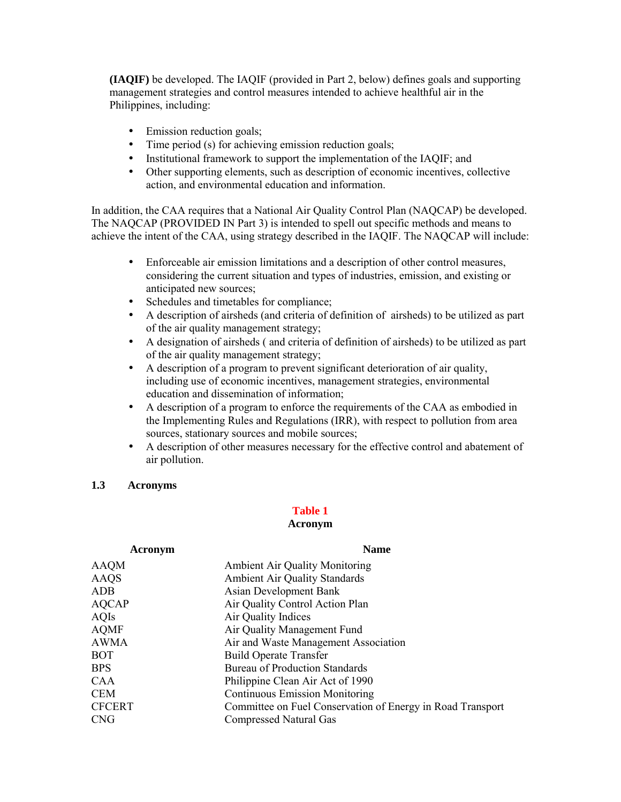**(IAQIF)** be developed. The IAQIF (provided in Part 2, below) defines goals and supporting management strategies and control measures intended to achieve healthful air in the Philippines, including:

- Emission reduction goals;
- Time period (s) for achieving emission reduction goals;
- Institutional framework to support the implementation of the IAQIF; and
- Other supporting elements, such as description of economic incentives, collective action, and environmental education and information.

In addition, the CAA requires that a National Air Quality Control Plan (NAQCAP) be developed. The NAQCAP (PROVIDED IN Part 3) is intended to spell out specific methods and means to achieve the intent of the CAA, using strategy described in the IAQIF. The NAQCAP will include:

- Enforceable air emission limitations and a description of other control measures, considering the current situation and types of industries, emission, and existing or anticipated new sources;
- Schedules and timetables for compliance;
- A description of airsheds (and criteria of definition of airsheds) to be utilized as part of the air quality management strategy;
- A designation of airsheds ( and criteria of definition of airsheds) to be utilized as part of the air quality management strategy;
- A description of a program to prevent significant deterioration of air quality, including use of economic incentives, management strategies, environmental education and dissemination of information;
- A description of a program to enforce the requirements of the CAA as embodied in the Implementing Rules and Regulations (IRR), with respect to pollution from area sources, stationary sources and mobile sources;
- A description of other measures necessary for the effective control and abatement of air pollution.

## **1.3 Acronyms**

#### **Table 1**

#### **Acronym**

| Acronym       | <b>Name</b>                                                |
|---------------|------------------------------------------------------------|
| AAQM          | <b>Ambient Air Quality Monitoring</b>                      |
| AAQS          | Ambient Air Quality Standards                              |
| ADB           | <b>Asian Development Bank</b>                              |
| AQCAP         | Air Quality Control Action Plan                            |
| AQIs          | Air Quality Indices                                        |
| AQMF          | Air Quality Management Fund                                |
| AWMA          | Air and Waste Management Association                       |
| BOT           | <b>Build Operate Transfer</b>                              |
| BPS           | <b>Bureau of Production Standards</b>                      |
| CAA           | Philippine Clean Air Act of 1990                           |
| CEM           | <b>Continuous Emission Monitoring</b>                      |
| <b>CFCERT</b> | Committee on Fuel Conservation of Energy in Road Transport |
| CNG           | <b>Compressed Natural Gas</b>                              |
|               |                                                            |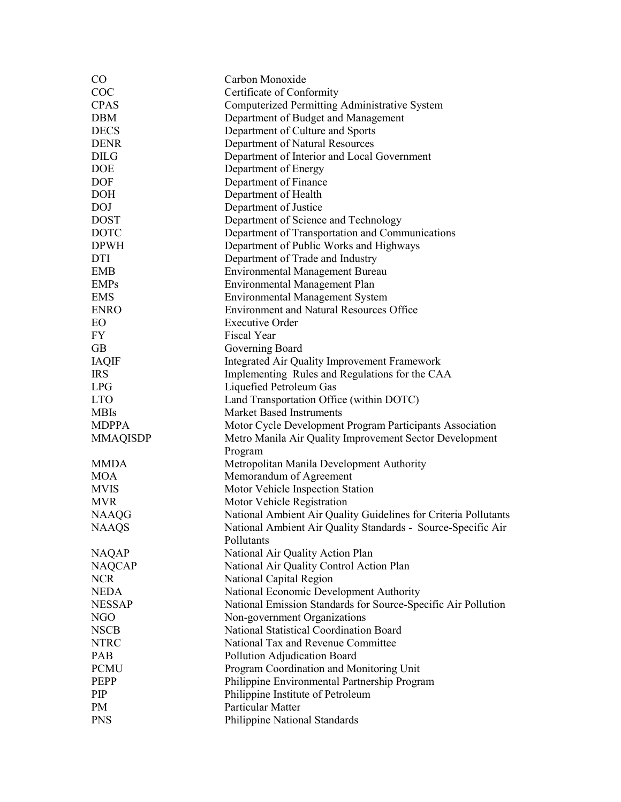| $\rm CO$        | Carbon Monoxide                                                 |  |  |
|-----------------|-----------------------------------------------------------------|--|--|
| COC             | Certificate of Conformity                                       |  |  |
| <b>CPAS</b>     | Computerized Permitting Administrative System                   |  |  |
| <b>DBM</b>      | Department of Budget and Management                             |  |  |
| <b>DECS</b>     | Department of Culture and Sports                                |  |  |
| <b>DENR</b>     | Department of Natural Resources                                 |  |  |
| <b>DILG</b>     | Department of Interior and Local Government                     |  |  |
| <b>DOE</b>      | Department of Energy                                            |  |  |
| DOF             | Department of Finance                                           |  |  |
| <b>DOH</b>      | Department of Health                                            |  |  |
| <b>DOJ</b>      | Department of Justice                                           |  |  |
| <b>DOST</b>     | Department of Science and Technology                            |  |  |
| <b>DOTC</b>     | Department of Transportation and Communications                 |  |  |
| <b>DPWH</b>     | Department of Public Works and Highways                         |  |  |
| <b>DTI</b>      | Department of Trade and Industry                                |  |  |
| <b>EMB</b>      | <b>Environmental Management Bureau</b>                          |  |  |
| <b>EMPs</b>     |                                                                 |  |  |
|                 | <b>Environmental Management Plan</b>                            |  |  |
| <b>EMS</b>      | <b>Environmental Management System</b>                          |  |  |
| <b>ENRO</b>     | <b>Environment and Natural Resources Office</b>                 |  |  |
| EO              | <b>Executive Order</b>                                          |  |  |
| FY              | Fiscal Year                                                     |  |  |
| <b>GB</b>       | Governing Board                                                 |  |  |
| <b>IAQIF</b>    | Integrated Air Quality Improvement Framework                    |  |  |
| <b>IRS</b>      | Implementing Rules and Regulations for the CAA                  |  |  |
| <b>LPG</b>      | Liquefied Petroleum Gas                                         |  |  |
| <b>LTO</b>      | Land Transportation Office (within DOTC)                        |  |  |
| <b>MBIs</b>     | <b>Market Based Instruments</b>                                 |  |  |
| <b>MDPPA</b>    | Motor Cycle Development Program Participants Association        |  |  |
| <b>MMAQISDP</b> | Metro Manila Air Quality Improvement Sector Development         |  |  |
|                 | Program                                                         |  |  |
| MMDA            | Metropolitan Manila Development Authority                       |  |  |
| <b>MOA</b>      | Memorandum of Agreement                                         |  |  |
| <b>MVIS</b>     | Motor Vehicle Inspection Station                                |  |  |
| <b>MVR</b>      | Motor Vehicle Registration                                      |  |  |
| <b>NAAQG</b>    | National Ambient Air Quality Guidelines for Criteria Pollutants |  |  |
| <b>NAAQS</b>    | National Ambient Air Quality Standards - Source-Specific Air    |  |  |
|                 | Pollutants                                                      |  |  |
| <b>NAQAP</b>    | National Air Quality Action Plan                                |  |  |
| <b>NAQCAP</b>   | National Air Quality Control Action Plan                        |  |  |
| <b>NCR</b>      | National Capital Region                                         |  |  |
| <b>NEDA</b>     | National Economic Development Authority                         |  |  |
| <b>NESSAP</b>   | National Emission Standards for Source-Specific Air Pollution   |  |  |
| NGO             | Non-government Organizations                                    |  |  |
| <b>NSCB</b>     | National Statistical Coordination Board                         |  |  |
| <b>NTRC</b>     | National Tax and Revenue Committee                              |  |  |
| PAB             | Pollution Adjudication Board                                    |  |  |
| <b>PCMU</b>     | Program Coordination and Monitoring Unit                        |  |  |
| PEPP            | Philippine Environmental Partnership Program                    |  |  |
| PIP             | Philippine Institute of Petroleum                               |  |  |
| PM              | Particular Matter                                               |  |  |
|                 |                                                                 |  |  |
| <b>PNS</b>      | Philippine National Standards                                   |  |  |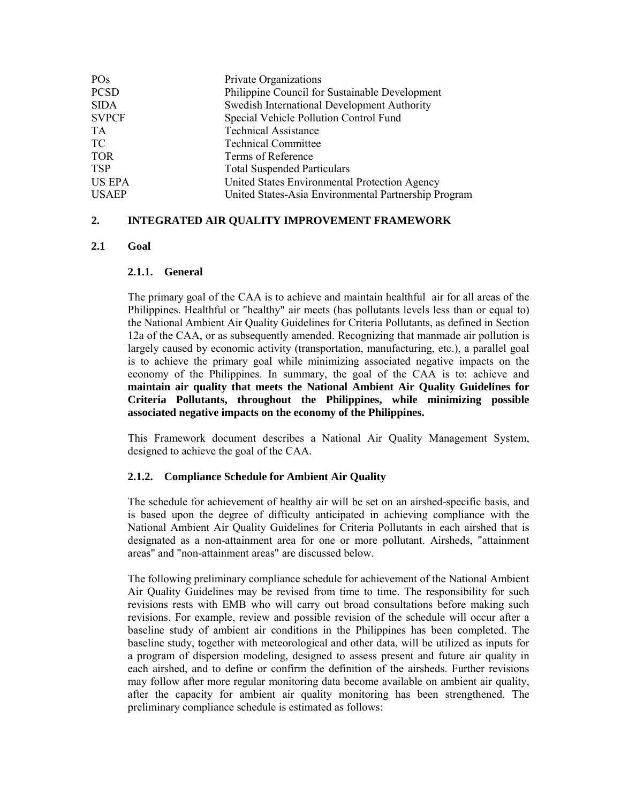| PO <sub>s</sub> | Private Organizations                                |
|-----------------|------------------------------------------------------|
| <b>PCSD</b>     | Philippine Council for Sustainable Development       |
| <b>SIDA</b>     | Swedish International Development Authority          |
| <b>SVPCF</b>    | Special Vehicle Pollution Control Fund               |
| <b>TA</b>       | <b>Technical Assistance</b>                          |
| TC              | <b>Technical Committee</b>                           |
| <b>TOR</b>      | Terms of Reference                                   |
| <b>TSP</b>      | <b>Total Suspended Particulars</b>                   |
| <b>US EPA</b>   | United States Environmental Protection Agency        |
| <b>USAEP</b>    | United States-Asia Environmental Partnership Program |

## **2. INTEGRATED AIR QUALITY IMPROVEMENT FRAMEWORK**

## **2.1 Goal**

### **2.1.1. General**

The primary goal of the CAA is to achieve and maintain healthful air for all areas of the Philippines. Healthful or "healthy" air meets (has pollutants levels less than or equal to) the National Ambient Air Quality Guidelines for Criteria Pollutants, as defined in Section 12a of the CAA, or as subsequently amended. Recognizing that manmade air pollution is largely caused by economic activity (transportation, manufacturing, etc.), a parallel goal is to achieve the primary goal while minimizing associated negative impacts on the economy of the Philippines. In summary, the goal of the CAA is to: achieve and **maintain air quality that meets the National Ambient Air Quality Guidelines for Criteria Pollutants, throughout the Philippines, while minimizing possible associated negative impacts on the economy of the Philippines.**

This Framework document describes a National Air Quality Management System, designed to achieve the goal of the CAA.

## **2.1.2. Compliance Schedule for Ambient Air Quality**

The schedule for achievement of healthy air will be set on an airshed-specific basis, and is based upon the degree of difficulty anticipated in achieving compliance with the National Ambient Air Quality Guidelines for Criteria Pollutants in each airshed that is designated as a non-attainment area for one or more pollutant. Airsheds, "attainment areas" and "non-attainment areas" are discussed below.

The following preliminary compliance schedule for achievement of the National Ambient Air Quality Guidelines may be revised from time to time. The responsibility for such revisions rests with EMB who will carry out broad consultations before making such revisions. For example, review and possible revision of the schedule will occur after a baseline study of ambient air conditions in the Philippines has been completed. The baseline study, together with meteorological and other data, will be utilized as inputs for a program of dispersion modeling, designed to assess present and future air quality in each airshed, and to define or confirm the definition of the airsheds. Further revisions may follow after more regular monitoring data become available on ambient air quality, after the capacity for ambient air quality monitoring has been strengthened. The preliminary compliance schedule is estimated as follows: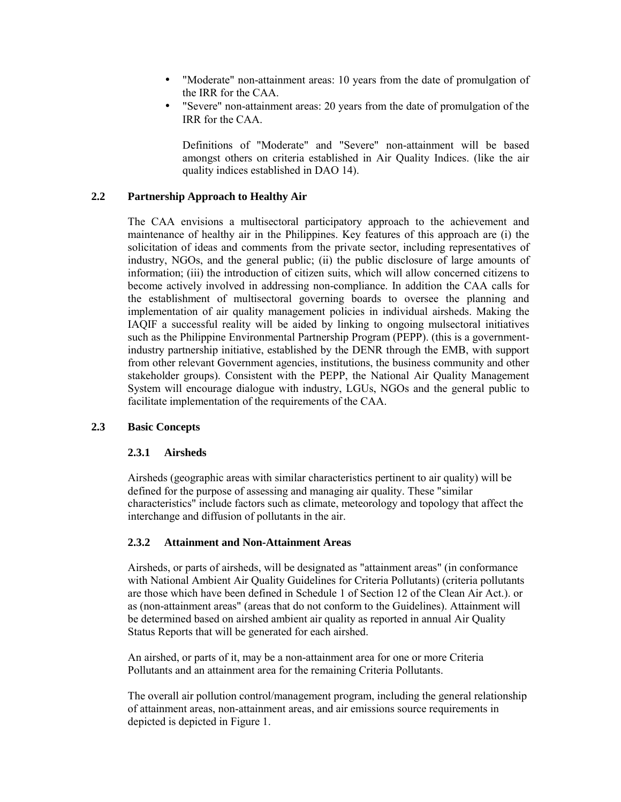- "Moderate" non-attainment areas: 10 years from the date of promulgation of the IRR for the CAA.
- "Severe" non-attainment areas: 20 years from the date of promulgation of the IRR for the CAA.

Definitions of "Moderate" and "Severe" non-attainment will be based amongst others on criteria established in Air Quality Indices. (like the air quality indices established in DAO 14).

## **2.2 Partnership Approach to Healthy Air**

The CAA envisions a multisectoral participatory approach to the achievement and maintenance of healthy air in the Philippines. Key features of this approach are (i) the solicitation of ideas and comments from the private sector, including representatives of industry, NGOs, and the general public; (ii) the public disclosure of large amounts of information; (iii) the introduction of citizen suits, which will allow concerned citizens to become actively involved in addressing non-compliance. In addition the CAA calls for the establishment of multisectoral governing boards to oversee the planning and implementation of air quality management policies in individual airsheds. Making the IAQIF a successful reality will be aided by linking to ongoing mulsectoral initiatives such as the Philippine Environmental Partnership Program (PEPP). (this is a governmentindustry partnership initiative, established by the DENR through the EMB, with support from other relevant Government agencies, institutions, the business community and other stakeholder groups). Consistent with the PEPP, the National Air Quality Management System will encourage dialogue with industry, LGUs, NGOs and the general public to facilitate implementation of the requirements of the CAA.

## **2.3 Basic Concepts**

## **2.3.1 Airsheds**

Airsheds (geographic areas with similar characteristics pertinent to air quality) will be defined for the purpose of assessing and managing air quality. These "similar characteristics" include factors such as climate, meteorology and topology that affect the interchange and diffusion of pollutants in the air.

## **2.3.2 Attainment and Non-Attainment Areas**

Airsheds, or parts of airsheds, will be designated as "attainment areas" (in conformance with National Ambient Air Quality Guidelines for Criteria Pollutants) (criteria pollutants are those which have been defined in Schedule 1 of Section 12 of the Clean Air Act.). or as (non-attainment areas" (areas that do not conform to the Guidelines). Attainment will be determined based on airshed ambient air quality as reported in annual Air Quality Status Reports that will be generated for each airshed.

An airshed, or parts of it, may be a non-attainment area for one or more Criteria Pollutants and an attainment area for the remaining Criteria Pollutants.

The overall air pollution control/management program, including the general relationship of attainment areas, non-attainment areas, and air emissions source requirements in depicted is depicted in Figure 1.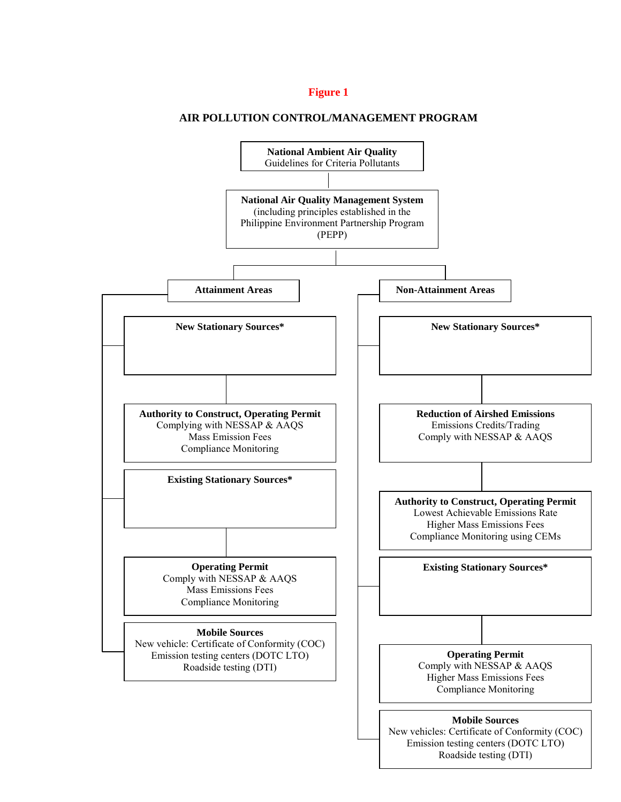## **Figure 1**

### **AIR POLLUTION CONTROL/MANAGEMENT PROGRAM**

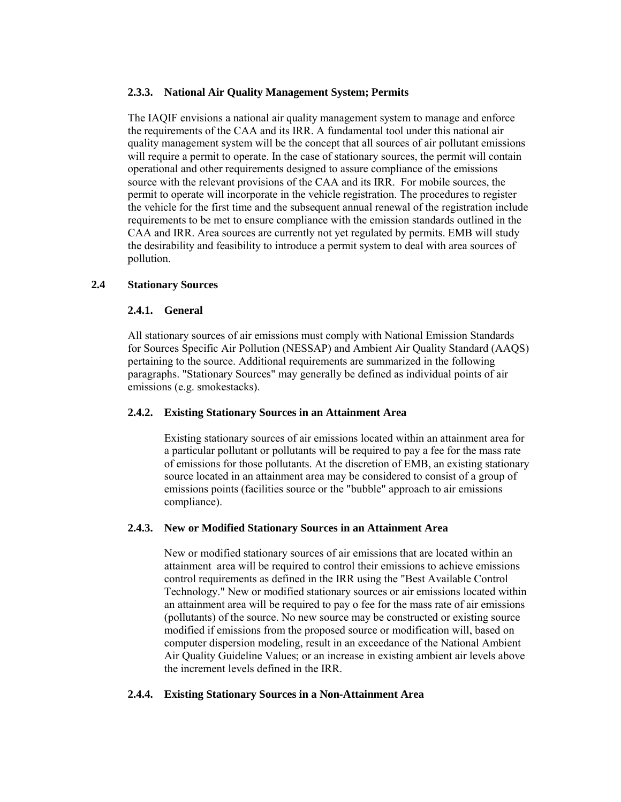## **2.3.3. National Air Quality Management System; Permits**

The IAQIF envisions a national air quality management system to manage and enforce the requirements of the CAA and its IRR. A fundamental tool under this national air quality management system will be the concept that all sources of air pollutant emissions will require a permit to operate. In the case of stationary sources, the permit will contain operational and other requirements designed to assure compliance of the emissions source with the relevant provisions of the CAA and its IRR. For mobile sources, the permit to operate will incorporate in the vehicle registration. The procedures to register the vehicle for the first time and the subsequent annual renewal of the registration include requirements to be met to ensure compliance with the emission standards outlined in the CAA and IRR. Area sources are currently not yet regulated by permits. EMB will study the desirability and feasibility to introduce a permit system to deal with area sources of pollution.

## **2.4 Stationary Sources**

## **2.4.1. General**

All stationary sources of air emissions must comply with National Emission Standards for Sources Specific Air Pollution (NESSAP) and Ambient Air Quality Standard (AAQS) pertaining to the source. Additional requirements are summarized in the following paragraphs. "Stationary Sources" may generally be defined as individual points of air emissions (e.g. smokestacks).

## **2.4.2. Existing Stationary Sources in an Attainment Area**

Existing stationary sources of air emissions located within an attainment area for a particular pollutant or pollutants will be required to pay a fee for the mass rate of emissions for those pollutants. At the discretion of EMB, an existing stationary source located in an attainment area may be considered to consist of a group of emissions points (facilities source or the "bubble" approach to air emissions compliance).

## **2.4.3. New or Modified Stationary Sources in an Attainment Area**

New or modified stationary sources of air emissions that are located within an attainment area will be required to control their emissions to achieve emissions control requirements as defined in the IRR using the "Best Available Control Technology." New or modified stationary sources or air emissions located within an attainment area will be required to pay o fee for the mass rate of air emissions (pollutants) of the source. No new source may be constructed or existing source modified if emissions from the proposed source or modification will, based on computer dispersion modeling, result in an exceedance of the National Ambient Air Quality Guideline Values; or an increase in existing ambient air levels above the increment levels defined in the IRR.

## **2.4.4. Existing Stationary Sources in a Non-Attainment Area**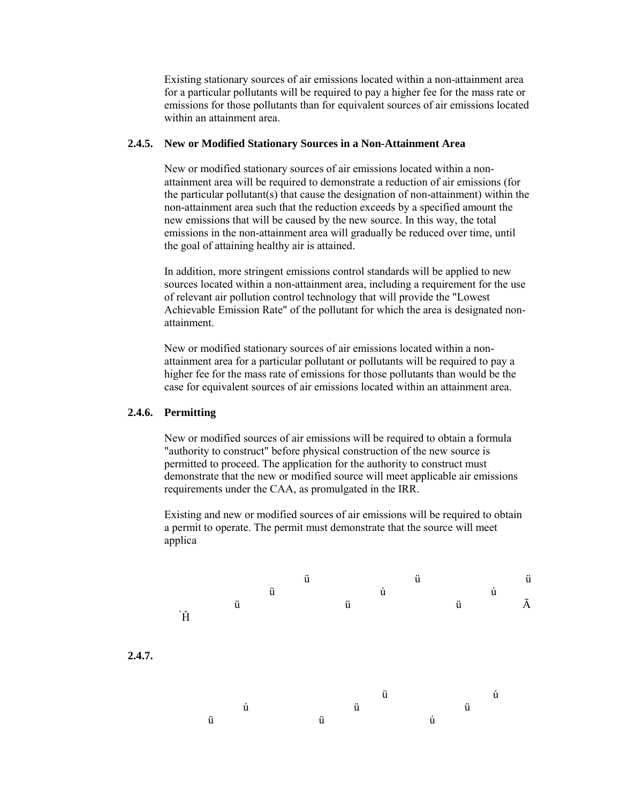Existing stationary sources of air emissions located within a non-attainment area for a particular pollutants will be required to pay a higher fee for the mass rate or emissions for those pollutants than for equivalent sources of air emissions located within an attainment area.

#### **2.4.5. New or Modified Stationary Sources in a Non-Attainment Area**

New or modified stationary sources of air emissions located within a nonattainment area will be required to demonstrate a reduction of air emissions (for the particular pollutant(s) that cause the designation of non-attainment) within the non-attainment area such that the reduction exceeds by a specified amount the new emissions that will be caused by the new source. In this way, the total emissions in the non-attainment area will gradually be reduced over time, until the goal of attaining healthy air is attained.

In addition, more stringent emissions control standards will be applied to new sources located within a non-attainment area, including a requirement for the use of relevant air pollution control technology that will provide the "Lowest Achievable Emission Rate" of the pollutant for which the area is designated nonattainment.

New or modified stationary sources of air emissions located within a nonattainment area for a particular pollutant or pollutants will be required to pay a higher fee for the mass rate of emissions for those pollutants than would be the case for equivalent sources of air emissions located within an attainment area.

### **2.4.6. Permitting**

New or modified sources of air emissions will be required to obtain a formula "authority to construct" before physical construction of the new source is permitted to proceed. The application for the authority to construct must demonstrate that the new or modified source will meet applicable air emissions requirements under the CAA, as promulgated in the IRR.

Existing and new or modified sources of air emissions will be required to obtain a permit to operate. The permit must demonstrate that the source will meet applica

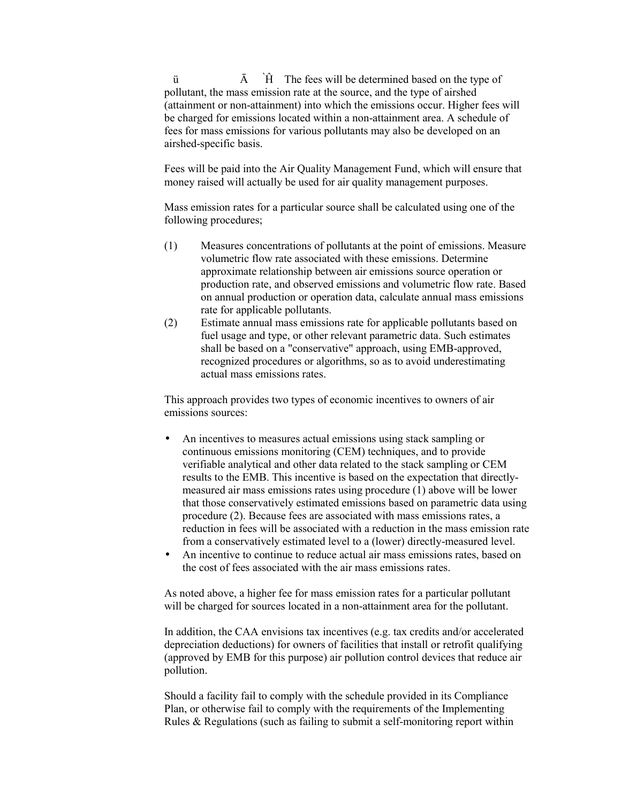$\overline{A}$   $\overrightarrow{H}$  The fees will be determined based on the type of pollutant, the mass emission rate at the source, and the type of airshed (attainment or non-attainment) into which the emissions occur. Higher fees will be charged for emissions located within a non-attainment area. A schedule of fees for mass emissions for various pollutants may also be developed on an airshed-specific basis.

Fees will be paid into the Air Quality Management Fund, which will ensure that money raised will actually be used for air quality management purposes.

Mass emission rates for a particular source shall be calculated using one of the following procedures;

- (1) Measures concentrations of pollutants at the point of emissions. Measure volumetric flow rate associated with these emissions. Determine approximate relationship between air emissions source operation or production rate, and observed emissions and volumetric flow rate. Based on annual production or operation data, calculate annual mass emissions rate for applicable pollutants.
- (2) Estimate annual mass emissions rate for applicable pollutants based on fuel usage and type, or other relevant parametric data. Such estimates shall be based on a "conservative" approach, using EMB-approved, recognized procedures or algorithms, so as to avoid underestimating actual mass emissions rates.

This approach provides two types of economic incentives to owners of air emissions sources:

- An incentives to measures actual emissions using stack sampling or continuous emissions monitoring (CEM) techniques, and to provide verifiable analytical and other data related to the stack sampling or CEM results to the EMB. This incentive is based on the expectation that directlymeasured air mass emissions rates using procedure (1) above will be lower that those conservatively estimated emissions based on parametric data using procedure (2). Because fees are associated with mass emissions rates, a reduction in fees will be associated with a reduction in the mass emission rate from a conservatively estimated level to a (lower) directly-measured level.
- An incentive to continue to reduce actual air mass emissions rates, based on the cost of fees associated with the air mass emissions rates.

As noted above, a higher fee for mass emission rates for a particular pollutant will be charged for sources located in a non-attainment area for the pollutant.

In addition, the CAA envisions tax incentives (e.g. tax credits and/or accelerated depreciation deductions) for owners of facilities that install or retrofit qualifying (approved by EMB for this purpose) air pollution control devices that reduce air pollution.

Should a facility fail to comply with the schedule provided in its Compliance Plan, or otherwise fail to comply with the requirements of the Implementing Rules & Regulations (such as failing to submit a self-monitoring report within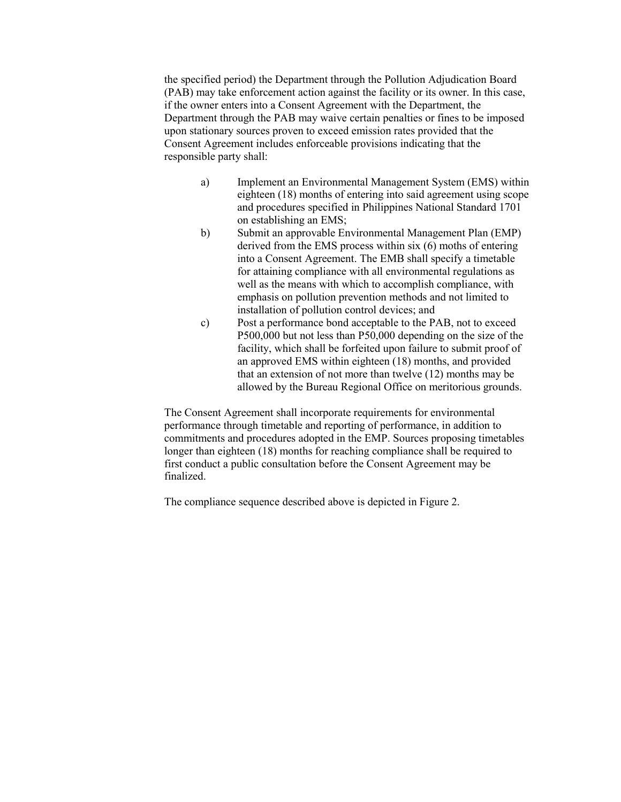the specified period) the Department through the Pollution Adjudication Board (PAB) may take enforcement action against the facility or its owner. In this case, if the owner enters into a Consent Agreement with the Department, the Department through the PAB may waive certain penalties or fines to be imposed upon stationary sources proven to exceed emission rates provided that the Consent Agreement includes enforceable provisions indicating that the responsible party shall:

- a) Implement an Environmental Management System (EMS) within eighteen (18) months of entering into said agreement using scope and procedures specified in Philippines National Standard 1701 on establishing an EMS;
- b) Submit an approvable Environmental Management Plan (EMP) derived from the EMS process within six (6) moths of entering into a Consent Agreement. The EMB shall specify a timetable for attaining compliance with all environmental regulations as well as the means with which to accomplish compliance, with emphasis on pollution prevention methods and not limited to installation of pollution control devices; and
- c) Post a performance bond acceptable to the PAB, not to exceed P500,000 but not less than P50,000 depending on the size of the facility, which shall be forfeited upon failure to submit proof of an approved EMS within eighteen (18) months, and provided that an extension of not more than twelve (12) months may be allowed by the Bureau Regional Office on meritorious grounds.

The Consent Agreement shall incorporate requirements for environmental performance through timetable and reporting of performance, in addition to commitments and procedures adopted in the EMP. Sources proposing timetables longer than eighteen (18) months for reaching compliance shall be required to first conduct a public consultation before the Consent Agreement may be finalized.

The compliance sequence described above is depicted in Figure 2.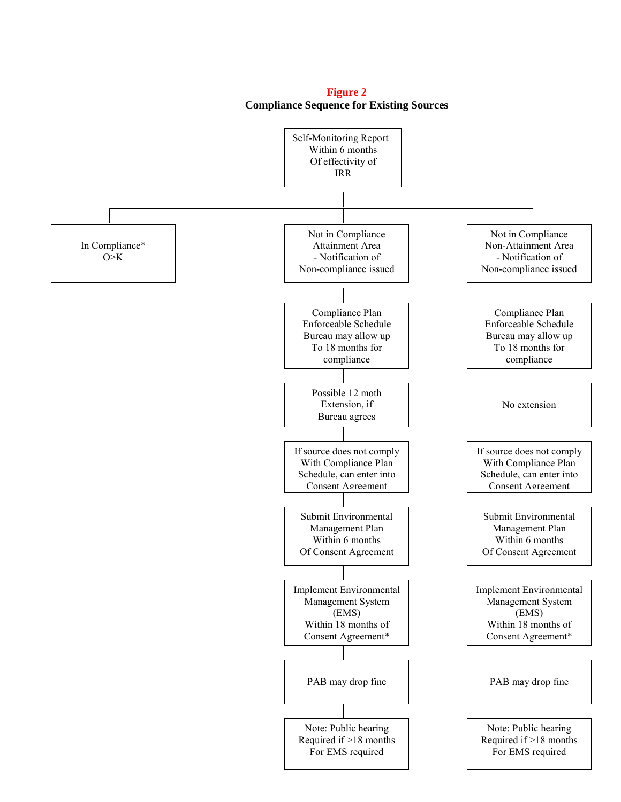

**Figure 2 Compliance Sequence for Existing Sources**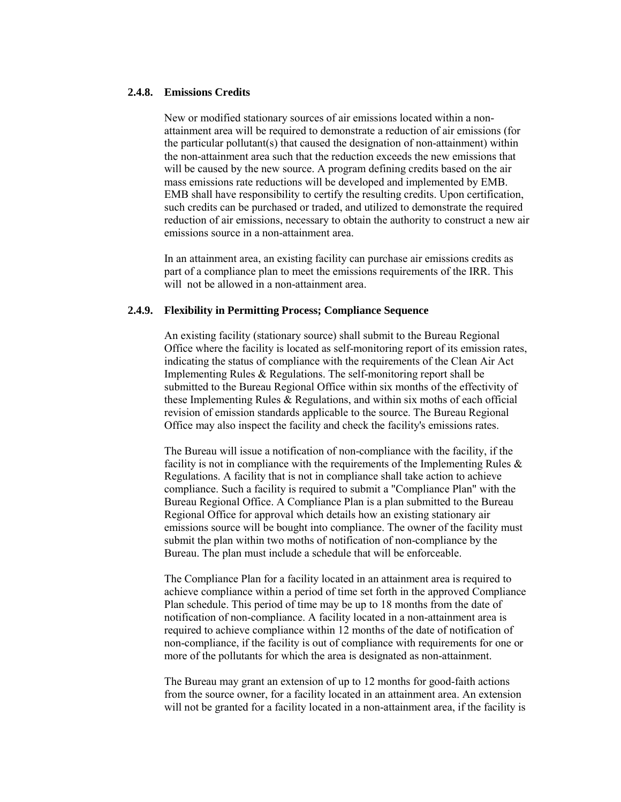#### **2.4.8. Emissions Credits**

New or modified stationary sources of air emissions located within a nonattainment area will be required to demonstrate a reduction of air emissions (for the particular pollutant(s) that caused the designation of non-attainment) within the non-attainment area such that the reduction exceeds the new emissions that will be caused by the new source. A program defining credits based on the air mass emissions rate reductions will be developed and implemented by EMB. EMB shall have responsibility to certify the resulting credits. Upon certification, such credits can be purchased or traded, and utilized to demonstrate the required reduction of air emissions, necessary to obtain the authority to construct a new air emissions source in a non-attainment area.

In an attainment area, an existing facility can purchase air emissions credits as part of a compliance plan to meet the emissions requirements of the IRR. This will not be allowed in a non-attainment area.

#### **2.4.9. Flexibility in Permitting Process; Compliance Sequence**

An existing facility (stationary source) shall submit to the Bureau Regional Office where the facility is located as self-monitoring report of its emission rates, indicating the status of compliance with the requirements of the Clean Air Act Implementing Rules & Regulations. The self-monitoring report shall be submitted to the Bureau Regional Office within six months of the effectivity of these Implementing Rules & Regulations, and within six moths of each official revision of emission standards applicable to the source. The Bureau Regional Office may also inspect the facility and check the facility's emissions rates.

The Bureau will issue a notification of non-compliance with the facility, if the facility is not in compliance with the requirements of the Implementing Rules  $\&$ Regulations. A facility that is not in compliance shall take action to achieve compliance. Such a facility is required to submit a "Compliance Plan" with the Bureau Regional Office. A Compliance Plan is a plan submitted to the Bureau Regional Office for approval which details how an existing stationary air emissions source will be bought into compliance. The owner of the facility must submit the plan within two moths of notification of non-compliance by the Bureau. The plan must include a schedule that will be enforceable.

The Compliance Plan for a facility located in an attainment area is required to achieve compliance within a period of time set forth in the approved Compliance Plan schedule. This period of time may be up to 18 months from the date of notification of non-compliance. A facility located in a non-attainment area is required to achieve compliance within 12 months of the date of notification of non-compliance, if the facility is out of compliance with requirements for one or more of the pollutants for which the area is designated as non-attainment.

The Bureau may grant an extension of up to 12 months for good-faith actions from the source owner, for a facility located in an attainment area. An extension will not be granted for a facility located in a non-attainment area, if the facility is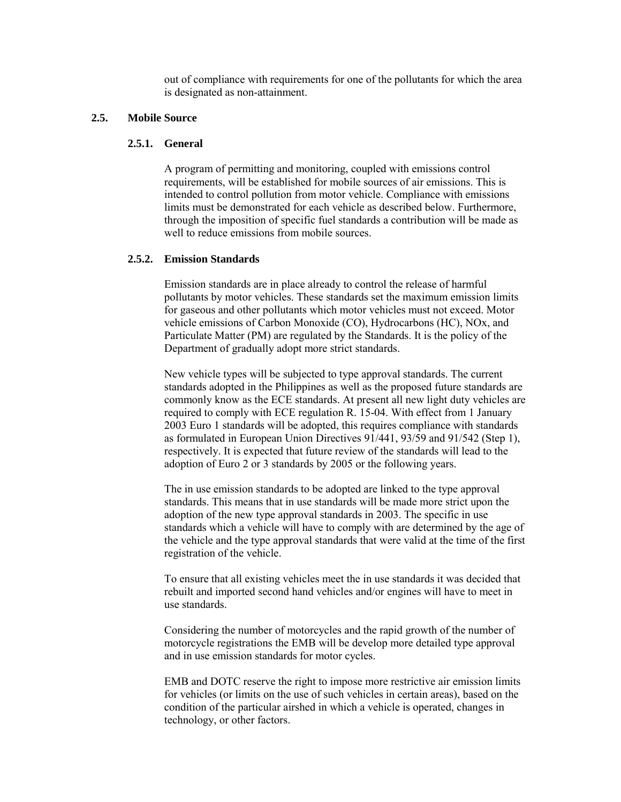out of compliance with requirements for one of the pollutants for which the area is designated as non-attainment.

### **2.5. Mobile Source**

#### **2.5.1. General**

A program of permitting and monitoring, coupled with emissions control requirements, will be established for mobile sources of air emissions. This is intended to control pollution from motor vehicle. Compliance with emissions limits must be demonstrated for each vehicle as described below. Furthermore, through the imposition of specific fuel standards a contribution will be made as well to reduce emissions from mobile sources.

#### **2.5.2. Emission Standards**

Emission standards are in place already to control the release of harmful pollutants by motor vehicles. These standards set the maximum emission limits for gaseous and other pollutants which motor vehicles must not exceed. Motor vehicle emissions of Carbon Monoxide (CO), Hydrocarbons (HC), NOx, and Particulate Matter (PM) are regulated by the Standards. It is the policy of the Department of gradually adopt more strict standards.

New vehicle types will be subjected to type approval standards. The current standards adopted in the Philippines as well as the proposed future standards are commonly know as the ECE standards. At present all new light duty vehicles are required to comply with ECE regulation R. 15-04. With effect from 1 January 2003 Euro 1 standards will be adopted, this requires compliance with standards as formulated in European Union Directives 91/441, 93/59 and 91/542 (Step 1), respectively. It is expected that future review of the standards will lead to the adoption of Euro 2 or 3 standards by 2005 or the following years.

The in use emission standards to be adopted are linked to the type approval standards. This means that in use standards will be made more strict upon the adoption of the new type approval standards in 2003. The specific in use standards which a vehicle will have to comply with are determined by the age of the vehicle and the type approval standards that were valid at the time of the first registration of the vehicle.

To ensure that all existing vehicles meet the in use standards it was decided that rebuilt and imported second hand vehicles and/or engines will have to meet in use standards.

Considering the number of motorcycles and the rapid growth of the number of motorcycle registrations the EMB will be develop more detailed type approval and in use emission standards for motor cycles.

EMB and DOTC reserve the right to impose more restrictive air emission limits for vehicles (or limits on the use of such vehicles in certain areas), based on the condition of the particular airshed in which a vehicle is operated, changes in technology, or other factors.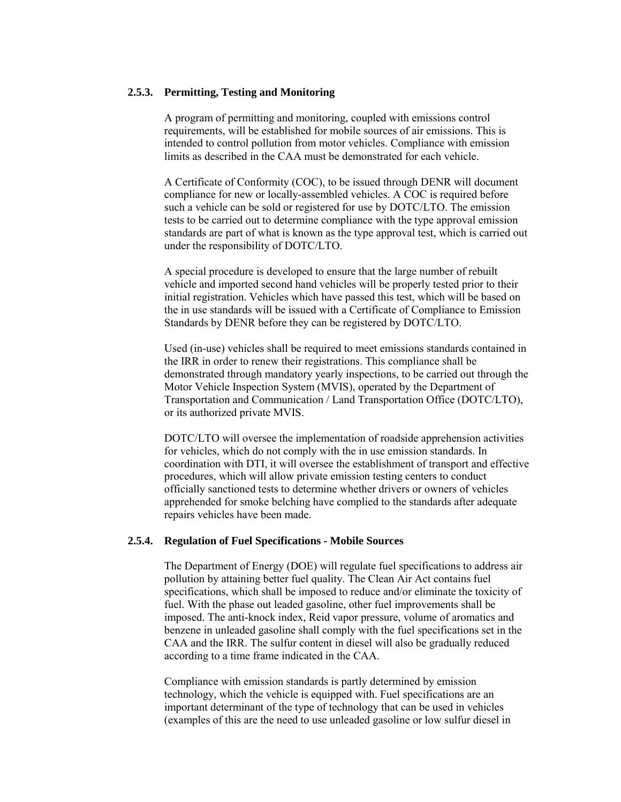### **2.5.3. Permitting, Testing and Monitoring**

A program of permitting and monitoring, coupled with emissions control requirements, will be established for mobile sources of air emissions. This is intended to control pollution from motor vehicles. Compliance with emission limits as described in the CAA must be demonstrated for each vehicle.

A Certificate of Conformity (COC), to be issued through DENR will document compliance for new or locally-assembled vehicles. A COC is required before such a vehicle can be sold or registered for use by DOTC/LTO. The emission tests to be carried out to determine compliance with the type approval emission standards are part of what is known as the type approval test, which is carried out under the responsibility of DOTC/LTO.

A special procedure is developed to ensure that the large number of rebuilt vehicle and imported second hand vehicles will be properly tested prior to their initial registration. Vehicles which have passed this test, which will be based on the in use standards will be issued with a Certificate of Compliance to Emission Standards by DENR before they can be registered by DOTC/LTO.

Used (in-use) vehicles shall be required to meet emissions standards contained in the IRR in order to renew their registrations. This compliance shall be demonstrated through mandatory yearly inspections, to be carried out through the Motor Vehicle Inspection System (MVIS), operated by the Department of Transportation and Communication / Land Transportation Office (DOTC/LTO), or its authorized private MVIS.

DOTC/LTO will oversee the implementation of roadside apprehension activities for vehicles, which do not comply with the in use emission standards. In coordination with DTI, it will oversee the establishment of transport and effective procedures, which will allow private emission testing centers to conduct officially sanctioned tests to determine whether drivers or owners of vehicles apprehended for smoke belching have complied to the standards after adequate repairs vehicles have been made.

### **2.5.4. Regulation of Fuel Specifications - Mobile Sources**

The Department of Energy (DOE) will regulate fuel specifications to address air pollution by attaining better fuel quality. The Clean Air Act contains fuel specifications, which shall be imposed to reduce and/or eliminate the toxicity of fuel. With the phase out leaded gasoline, other fuel improvements shall be imposed. The anti-knock index, Reid vapor pressure, volume of aromatics and benzene in unleaded gasoline shall comply with the fuel specifications set in the CAA and the IRR. The sulfur content in diesel will also be gradually reduced according to a time frame indicated in the CAA.

Compliance with emission standards is partly determined by emission technology, which the vehicle is equipped with. Fuel specifications are an important determinant of the type of technology that can be used in vehicles (examples of this are the need to use unleaded gasoline or low sulfur diesel in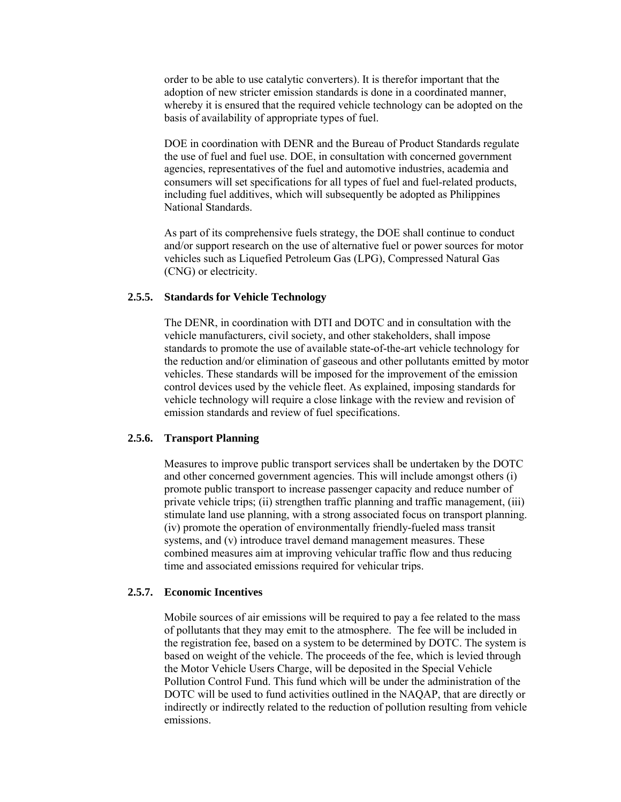order to be able to use catalytic converters). It is therefor important that the adoption of new stricter emission standards is done in a coordinated manner, whereby it is ensured that the required vehicle technology can be adopted on the basis of availability of appropriate types of fuel.

DOE in coordination with DENR and the Bureau of Product Standards regulate the use of fuel and fuel use. DOE, in consultation with concerned government agencies, representatives of the fuel and automotive industries, academia and consumers will set specifications for all types of fuel and fuel-related products, including fuel additives, which will subsequently be adopted as Philippines National Standards.

As part of its comprehensive fuels strategy, the DOE shall continue to conduct and/or support research on the use of alternative fuel or power sources for motor vehicles such as Liquefied Petroleum Gas (LPG), Compressed Natural Gas (CNG) or electricity.

#### **2.5.5. Standards for Vehicle Technology**

The DENR, in coordination with DTI and DOTC and in consultation with the vehicle manufacturers, civil society, and other stakeholders, shall impose standards to promote the use of available state-of-the-art vehicle technology for the reduction and/or elimination of gaseous and other pollutants emitted by motor vehicles. These standards will be imposed for the improvement of the emission control devices used by the vehicle fleet. As explained, imposing standards for vehicle technology will require a close linkage with the review and revision of emission standards and review of fuel specifications.

#### **2.5.6. Transport Planning**

Measures to improve public transport services shall be undertaken by the DOTC and other concerned government agencies. This will include amongst others (i) promote public transport to increase passenger capacity and reduce number of private vehicle trips; (ii) strengthen traffic planning and traffic management, (iii) stimulate land use planning, with a strong associated focus on transport planning. (iv) promote the operation of environmentally friendly-fueled mass transit systems, and (v) introduce travel demand management measures. These combined measures aim at improving vehicular traffic flow and thus reducing time and associated emissions required for vehicular trips.

### **2.5.7. Economic Incentives**

Mobile sources of air emissions will be required to pay a fee related to the mass of pollutants that they may emit to the atmosphere. The fee will be included in the registration fee, based on a system to be determined by DOTC. The system is based on weight of the vehicle. The proceeds of the fee, which is levied through the Motor Vehicle Users Charge, will be deposited in the Special Vehicle Pollution Control Fund. This fund which will be under the administration of the DOTC will be used to fund activities outlined in the NAQAP, that are directly or indirectly or indirectly related to the reduction of pollution resulting from vehicle emissions.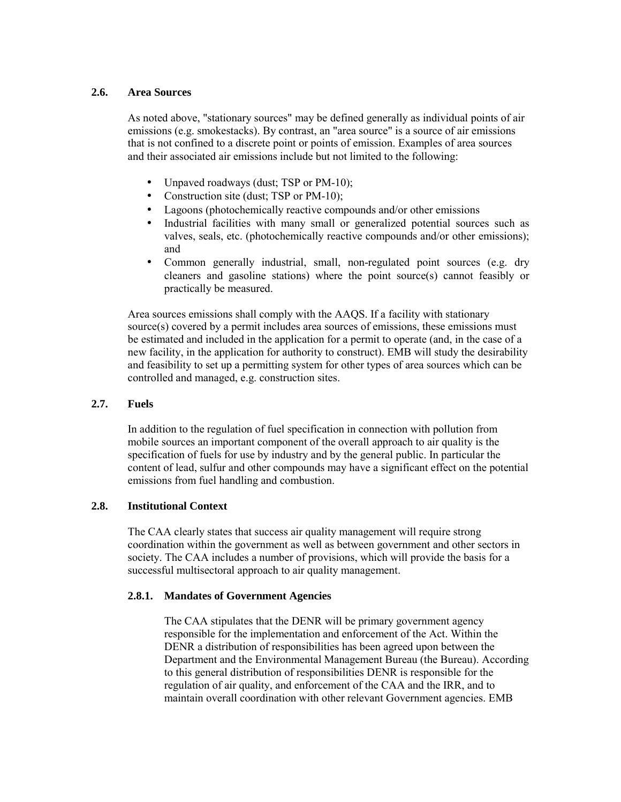## **2.6. Area Sources**

As noted above, "stationary sources" may be defined generally as individual points of air emissions (e.g. smokestacks). By contrast, an "area source" is a source of air emissions that is not confined to a discrete point or points of emission. Examples of area sources and their associated air emissions include but not limited to the following:

- Unpaved roadways (dust; TSP or PM-10);
- Construction site (dust; TSP or PM-10);
- Lagoons (photochemically reactive compounds and/or other emissions
- Industrial facilities with many small or generalized potential sources such as valves, seals, etc. (photochemically reactive compounds and/or other emissions); and
- Common generally industrial, small, non-regulated point sources (e.g. dry cleaners and gasoline stations) where the point source(s) cannot feasibly or practically be measured.

Area sources emissions shall comply with the AAQS. If a facility with stationary source(s) covered by a permit includes area sources of emissions, these emissions must be estimated and included in the application for a permit to operate (and, in the case of a new facility, in the application for authority to construct). EMB will study the desirability and feasibility to set up a permitting system for other types of area sources which can be controlled and managed, e.g. construction sites.

## **2.7. Fuels**

In addition to the regulation of fuel specification in connection with pollution from mobile sources an important component of the overall approach to air quality is the specification of fuels for use by industry and by the general public. In particular the content of lead, sulfur and other compounds may have a significant effect on the potential emissions from fuel handling and combustion.

## **2.8. Institutional Context**

The CAA clearly states that success air quality management will require strong coordination within the government as well as between government and other sectors in society. The CAA includes a number of provisions, which will provide the basis for a successful multisectoral approach to air quality management.

## **2.8.1. Mandates of Government Agencies**

The CAA stipulates that the DENR will be primary government agency responsible for the implementation and enforcement of the Act. Within the DENR a distribution of responsibilities has been agreed upon between the Department and the Environmental Management Bureau (the Bureau). According to this general distribution of responsibilities DENR is responsible for the regulation of air quality, and enforcement of the CAA and the IRR, and to maintain overall coordination with other relevant Government agencies. EMB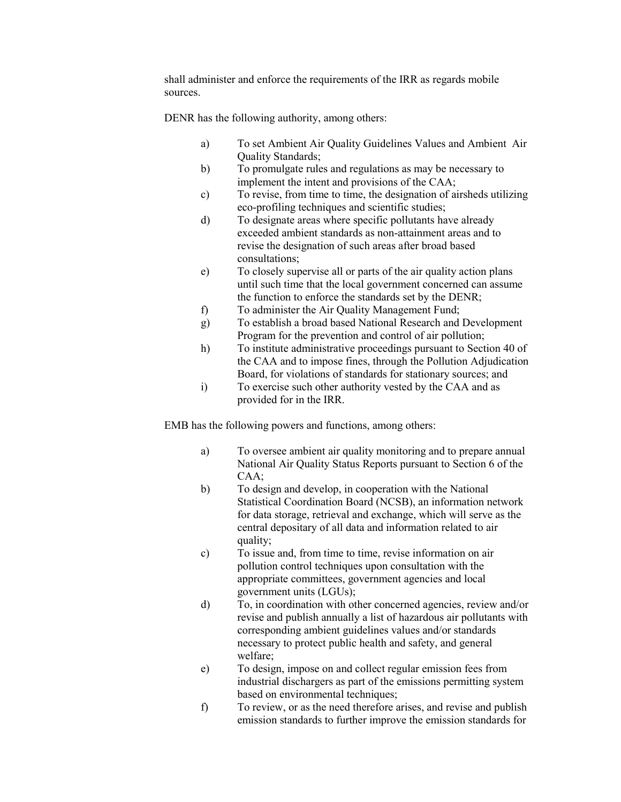shall administer and enforce the requirements of the IRR as regards mobile sources.

DENR has the following authority, among others:

- a) To set Ambient Air Quality Guidelines Values and Ambient Air Quality Standards;
- b) To promulgate rules and regulations as may be necessary to implement the intent and provisions of the CAA;
- c) To revise, from time to time, the designation of airsheds utilizing eco-profiling techniques and scientific studies;
- d) To designate areas where specific pollutants have already exceeded ambient standards as non-attainment areas and to revise the designation of such areas after broad based consultations;
- e) To closely supervise all or parts of the air quality action plans until such time that the local government concerned can assume the function to enforce the standards set by the DENR;
- f) To administer the Air Quality Management Fund;
- g) To establish a broad based National Research and Development Program for the prevention and control of air pollution;
- h) To institute administrative proceedings pursuant to Section 40 of the CAA and to impose fines, through the Pollution Adjudication Board, for violations of standards for stationary sources; and
- i) To exercise such other authority vested by the CAA and as provided for in the IRR.

EMB has the following powers and functions, among others:

- a) To oversee ambient air quality monitoring and to prepare annual National Air Quality Status Reports pursuant to Section 6 of the CAA;
- b) To design and develop, in cooperation with the National Statistical Coordination Board (NCSB), an information network for data storage, retrieval and exchange, which will serve as the central depositary of all data and information related to air quality;
- c) To issue and, from time to time, revise information on air pollution control techniques upon consultation with the appropriate committees, government agencies and local government units (LGUs);
- d) To, in coordination with other concerned agencies, review and/or revise and publish annually a list of hazardous air pollutants with corresponding ambient guidelines values and/or standards necessary to protect public health and safety, and general welfare;
- e) To design, impose on and collect regular emission fees from industrial dischargers as part of the emissions permitting system based on environmental techniques;
- f) To review, or as the need therefore arises, and revise and publish emission standards to further improve the emission standards for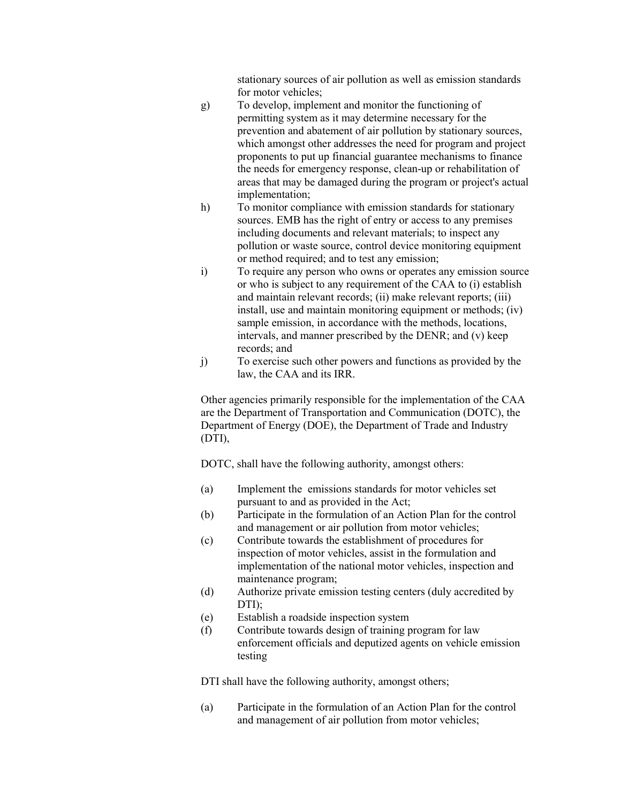stationary sources of air pollution as well as emission standards for motor vehicles;

- g) To develop, implement and monitor the functioning of permitting system as it may determine necessary for the prevention and abatement of air pollution by stationary sources, which amongst other addresses the need for program and project proponents to put up financial guarantee mechanisms to finance the needs for emergency response, clean-up or rehabilitation of areas that may be damaged during the program or project's actual implementation;
- h) To monitor compliance with emission standards for stationary sources. EMB has the right of entry or access to any premises including documents and relevant materials; to inspect any pollution or waste source, control device monitoring equipment or method required; and to test any emission;
- i) To require any person who owns or operates any emission source or who is subject to any requirement of the CAA to (i) establish and maintain relevant records; (ii) make relevant reports; (iii) install, use and maintain monitoring equipment or methods; (iv) sample emission, in accordance with the methods, locations, intervals, and manner prescribed by the DENR; and (v) keep records; and
- j) To exercise such other powers and functions as provided by the law, the CAA and its IRR.

Other agencies primarily responsible for the implementation of the CAA are the Department of Transportation and Communication (DOTC), the Department of Energy (DOE), the Department of Trade and Industry (DTI),

DOTC, shall have the following authority, amongst others:

- (a) Implement the emissions standards for motor vehicles set pursuant to and as provided in the Act;
- (b) Participate in the formulation of an Action Plan for the control and management or air pollution from motor vehicles;
- (c) Contribute towards the establishment of procedures for inspection of motor vehicles, assist in the formulation and implementation of the national motor vehicles, inspection and maintenance program;
- (d) Authorize private emission testing centers (duly accredited by DTI);
- (e) Establish a roadside inspection system
- (f) Contribute towards design of training program for law enforcement officials and deputized agents on vehicle emission testing

DTI shall have the following authority, amongst others;

(a) Participate in the formulation of an Action Plan for the control and management of air pollution from motor vehicles;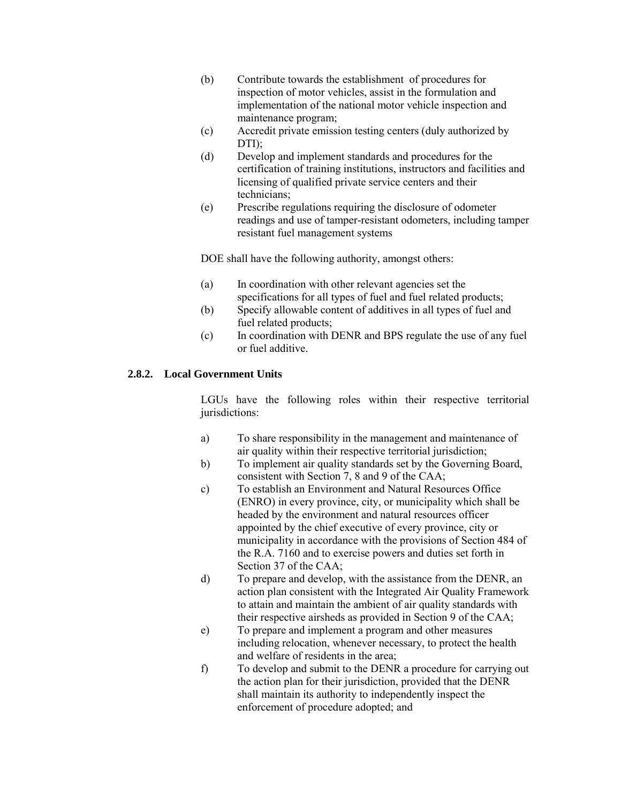- (b) Contribute towards the establishment of procedures for inspection of motor vehicles, assist in the formulation and implementation of the national motor vehicle inspection and maintenance program;
- (c) Accredit private emission testing centers (duly authorized by DTI);
- (d) Develop and implement standards and procedures for the certification of training institutions, instructors and facilities and licensing of qualified private service centers and their technicians;
- (e) Prescribe regulations requiring the disclosure of odometer readings and use of tamper-resistant odometers, including tamper resistant fuel management systems

DOE shall have the following authority, amongst others:

- (a) In coordination with other relevant agencies set the specifications for all types of fuel and fuel related products;
- (b) Specify allowable content of additives in all types of fuel and fuel related products;
- (c) In coordination with DENR and BPS regulate the use of any fuel or fuel additive.

## **2.8.2. Local Government Units**

LGUs have the following roles within their respective territorial jurisdictions:

- a) To share responsibility in the management and maintenance of air quality within their respective territorial jurisdiction;
- b) To implement air quality standards set by the Governing Board, consistent with Section 7, 8 and 9 of the CAA;
- c) To establish an Environment and Natural Resources Office (ENRO) in every province, city, or municipality which shall be headed by the environment and natural resources officer appointed by the chief executive of every province, city or municipality in accordance with the provisions of Section 484 of the R.A. 7160 and to exercise powers and duties set forth in Section 37 of the CAA;
- d) To prepare and develop, with the assistance from the DENR, an action plan consistent with the Integrated Air Quality Framework to attain and maintain the ambient of air quality standards with their respective airsheds as provided in Section 9 of the CAA;
- e) To prepare and implement a program and other measures including relocation, whenever necessary, to protect the health and welfare of residents in the area;
- f) To develop and submit to the DENR a procedure for carrying out the action plan for their jurisdiction, provided that the DENR shall maintain its authority to independently inspect the enforcement of procedure adopted; and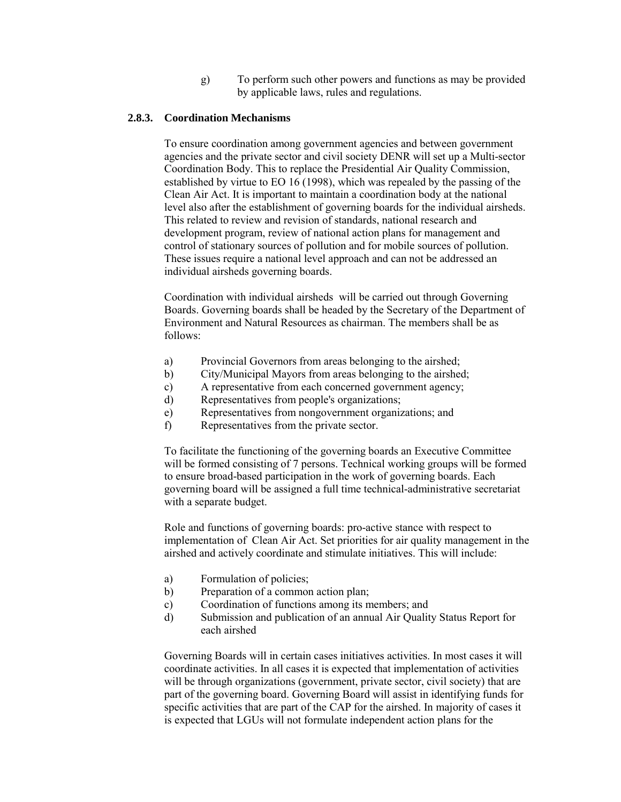g) To perform such other powers and functions as may be provided by applicable laws, rules and regulations.

## **2.8.3. Coordination Mechanisms**

To ensure coordination among government agencies and between government agencies and the private sector and civil society DENR will set up a Multi-sector Coordination Body. This to replace the Presidential Air Quality Commission, established by virtue to EO 16 (1998), which was repealed by the passing of the Clean Air Act. It is important to maintain a coordination body at the national level also after the establishment of governing boards for the individual airsheds. This related to review and revision of standards, national research and development program, review of national action plans for management and control of stationary sources of pollution and for mobile sources of pollution. These issues require a national level approach and can not be addressed an individual airsheds governing boards.

Coordination with individual airsheds will be carried out through Governing Boards. Governing boards shall be headed by the Secretary of the Department of Environment and Natural Resources as chairman. The members shall be as follows:

- a) Provincial Governors from areas belonging to the airshed;
- b) City/Municipal Mayors from areas belonging to the airshed;
- c) A representative from each concerned government agency;
- d) Representatives from people's organizations;
- e) Representatives from nongovernment organizations; and
- f) Representatives from the private sector.

To facilitate the functioning of the governing boards an Executive Committee will be formed consisting of 7 persons. Technical working groups will be formed to ensure broad-based participation in the work of governing boards. Each governing board will be assigned a full time technical-administrative secretariat with a separate budget.

Role and functions of governing boards: pro-active stance with respect to implementation of Clean Air Act. Set priorities for air quality management in the airshed and actively coordinate and stimulate initiatives. This will include:

- a) Formulation of policies;
- b) Preparation of a common action plan;
- c) Coordination of functions among its members; and
- d) Submission and publication of an annual Air Quality Status Report for each airshed

Governing Boards will in certain cases initiatives activities. In most cases it will coordinate activities. In all cases it is expected that implementation of activities will be through organizations (government, private sector, civil society) that are part of the governing board. Governing Board will assist in identifying funds for specific activities that are part of the CAP for the airshed. In majority of cases it is expected that LGUs will not formulate independent action plans for the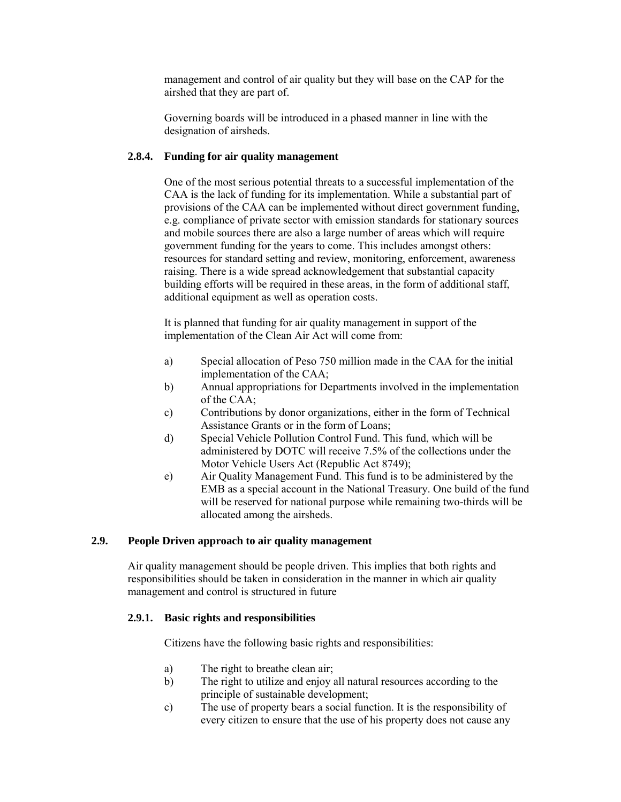management and control of air quality but they will base on the CAP for the airshed that they are part of.

Governing boards will be introduced in a phased manner in line with the designation of airsheds.

## **2.8.4. Funding for air quality management**

One of the most serious potential threats to a successful implementation of the CAA is the lack of funding for its implementation. While a substantial part of provisions of the CAA can be implemented without direct government funding, e.g. compliance of private sector with emission standards for stationary sources and mobile sources there are also a large number of areas which will require government funding for the years to come. This includes amongst others: resources for standard setting and review, monitoring, enforcement, awareness raising. There is a wide spread acknowledgement that substantial capacity building efforts will be required in these areas, in the form of additional staff, additional equipment as well as operation costs.

It is planned that funding for air quality management in support of the implementation of the Clean Air Act will come from:

- a) Special allocation of Peso 750 million made in the CAA for the initial implementation of the CAA;
- b) Annual appropriations for Departments involved in the implementation of the CAA;
- c) Contributions by donor organizations, either in the form of Technical Assistance Grants or in the form of Loans;
- d) Special Vehicle Pollution Control Fund. This fund, which will be administered by DOTC will receive 7.5% of the collections under the Motor Vehicle Users Act (Republic Act 8749);
- e) Air Quality Management Fund. This fund is to be administered by the EMB as a special account in the National Treasury. One build of the fund will be reserved for national purpose while remaining two-thirds will be allocated among the airsheds.

## **2.9. People Driven approach to air quality management**

Air quality management should be people driven. This implies that both rights and responsibilities should be taken in consideration in the manner in which air quality management and control is structured in future

## **2.9.1. Basic rights and responsibilities**

Citizens have the following basic rights and responsibilities:

- a) The right to breathe clean air;
- b) The right to utilize and enjoy all natural resources according to the principle of sustainable development;
- c) The use of property bears a social function. It is the responsibility of every citizen to ensure that the use of his property does not cause any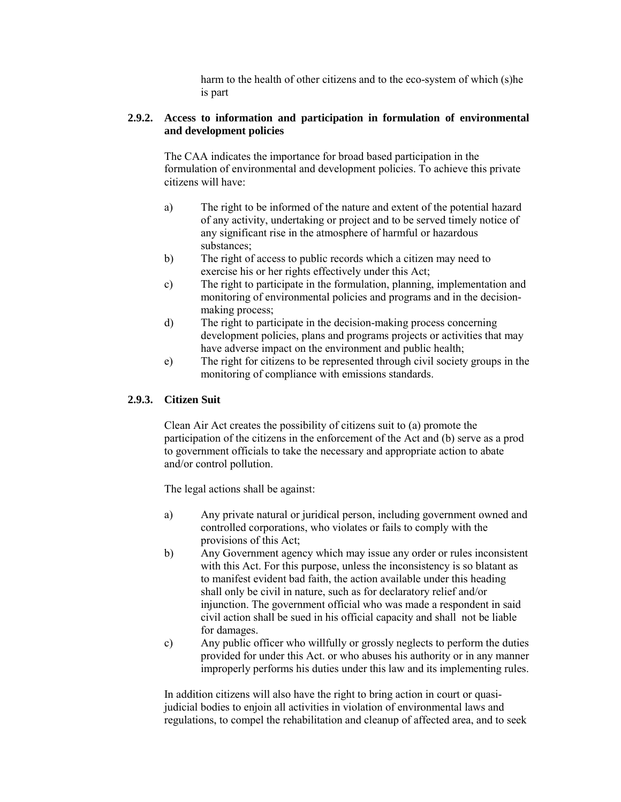harm to the health of other citizens and to the eco-system of which (s)he is part

## **2.9.2. Access to information and participation in formulation of environmental and development policies**

The CAA indicates the importance for broad based participation in the formulation of environmental and development policies. To achieve this private citizens will have:

- a) The right to be informed of the nature and extent of the potential hazard of any activity, undertaking or project and to be served timely notice of any significant rise in the atmosphere of harmful or hazardous substances;
- b) The right of access to public records which a citizen may need to exercise his or her rights effectively under this Act;
- c) The right to participate in the formulation, planning, implementation and monitoring of environmental policies and programs and in the decisionmaking process;
- d) The right to participate in the decision-making process concerning development policies, plans and programs projects or activities that may have adverse impact on the environment and public health;
- e) The right for citizens to be represented through civil society groups in the monitoring of compliance with emissions standards.

## **2.9.3. Citizen Suit**

Clean Air Act creates the possibility of citizens suit to (a) promote the participation of the citizens in the enforcement of the Act and (b) serve as a prod to government officials to take the necessary and appropriate action to abate and/or control pollution.

The legal actions shall be against:

- a) Any private natural or juridical person, including government owned and controlled corporations, who violates or fails to comply with the provisions of this Act;
- b) Any Government agency which may issue any order or rules inconsistent with this Act. For this purpose, unless the inconsistency is so blatant as to manifest evident bad faith, the action available under this heading shall only be civil in nature, such as for declaratory relief and/or injunction. The government official who was made a respondent in said civil action shall be sued in his official capacity and shall not be liable for damages.
- c) Any public officer who willfully or grossly neglects to perform the duties provided for under this Act. or who abuses his authority or in any manner improperly performs his duties under this law and its implementing rules.

In addition citizens will also have the right to bring action in court or quasijudicial bodies to enjoin all activities in violation of environmental laws and regulations, to compel the rehabilitation and cleanup of affected area, and to seek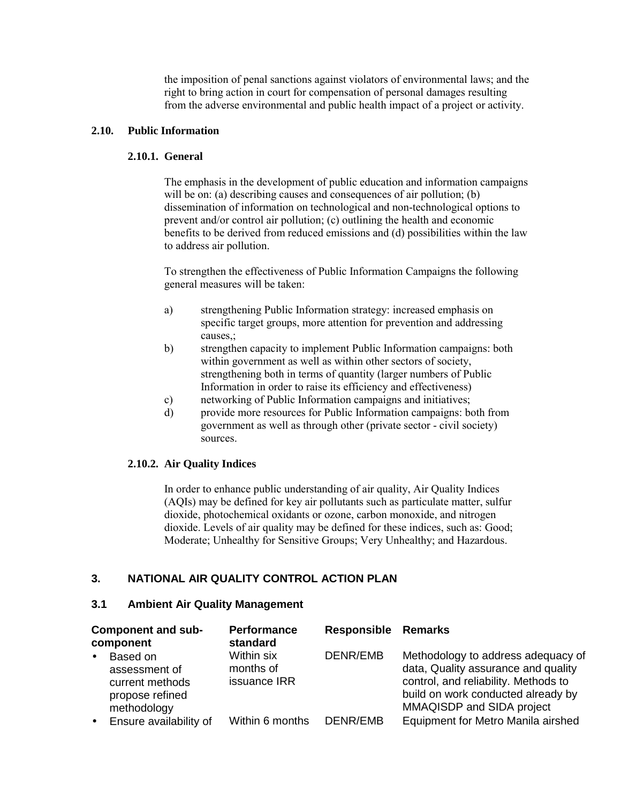the imposition of penal sanctions against violators of environmental laws; and the right to bring action in court for compensation of personal damages resulting from the adverse environmental and public health impact of a project or activity.

## **2.10. Public Information**

## **2.10.1. General**

The emphasis in the development of public education and information campaigns will be on: (a) describing causes and consequences of air pollution; (b) dissemination of information on technological and non-technological options to prevent and/or control air pollution; (c) outlining the health and economic benefits to be derived from reduced emissions and (d) possibilities within the law to address air pollution.

To strengthen the effectiveness of Public Information Campaigns the following general measures will be taken:

- a) strengthening Public Information strategy: increased emphasis on specific target groups, more attention for prevention and addressing causes,;
- b) strengthen capacity to implement Public Information campaigns: both within government as well as within other sectors of society, strengthening both in terms of quantity (larger numbers of Public Information in order to raise its efficiency and effectiveness)
- c) networking of Public Information campaigns and initiatives;
- d) provide more resources for Public Information campaigns: both from government as well as through other (private sector - civil society) sources.

## **2.10.2. Air Quality Indices**

In order to enhance public understanding of air quality, Air Quality Indices (AQIs) may be defined for key air pollutants such as particulate matter, sulfur dioxide, photochemical oxidants or ozone, carbon monoxide, and nitrogen dioxide. Levels of air quality may be defined for these indices, such as: Good; Moderate; Unhealthy for Sensitive Groups; Very Unhealthy; and Hazardous.

## **3. NATIONAL AIR QUALITY CONTROL ACTION PLAN**

## **3.1 Ambient Air Quality Management**

| Component and sub-<br>component |                                                                                | <b>Performance</b><br>standard          | <b>Responsible Remarks</b> |                                                                                                                                                                                      |  |
|---------------------------------|--------------------------------------------------------------------------------|-----------------------------------------|----------------------------|--------------------------------------------------------------------------------------------------------------------------------------------------------------------------------------|--|
| $\bullet$                       | Based on<br>assessment of<br>current methods<br>propose refined<br>methodology | Within six<br>months of<br>issuance IRR | DENR/EMB                   | Methodology to address adequacy of<br>data, Quality assurance and quality<br>control, and reliability. Methods to<br>build on work conducted already by<br>MMAQISDP and SIDA project |  |
| $\bullet$                       | Ensure availability of                                                         | Within 6 months                         | DENR/EMB                   | Equipment for Metro Manila airshed                                                                                                                                                   |  |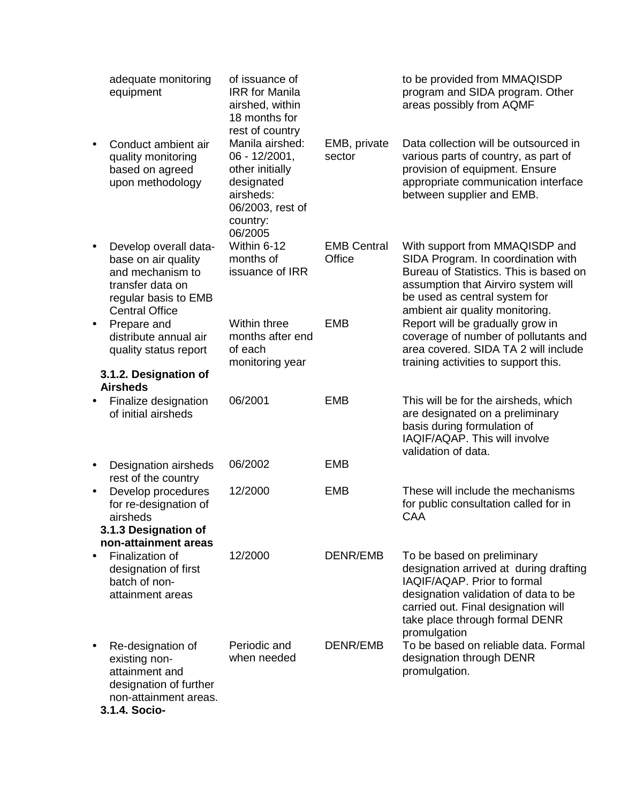|           | adequate monitoring<br>equipment                                                                                                      | of issuance of<br><b>IRR</b> for Manila<br>airshed, within<br>18 months for                                                                  |                              | to be provided from MMAQISDP<br>program and SIDA program. Other<br>areas possibly from AQMF                                                                                                                                          |
|-----------|---------------------------------------------------------------------------------------------------------------------------------------|----------------------------------------------------------------------------------------------------------------------------------------------|------------------------------|--------------------------------------------------------------------------------------------------------------------------------------------------------------------------------------------------------------------------------------|
| $\bullet$ | Conduct ambient air<br>quality monitoring<br>based on agreed<br>upon methodology                                                      | rest of country<br>Manila airshed:<br>06 - 12/2001,<br>other initially<br>designated<br>airsheds:<br>06/2003, rest of<br>country:<br>06/2005 | EMB, private<br>sector       | Data collection will be outsourced in<br>various parts of country, as part of<br>provision of equipment. Ensure<br>appropriate communication interface<br>between supplier and EMB.                                                  |
| $\bullet$ | Develop overall data-<br>base on air quality<br>and mechanism to<br>transfer data on<br>regular basis to EMB<br><b>Central Office</b> | Within 6-12<br>months of<br>issuance of IRR                                                                                                  | <b>EMB Central</b><br>Office | With support from MMAQISDP and<br>SIDA Program. In coordination with<br>Bureau of Statistics. This is based on<br>assumption that Airviro system will<br>be used as central system for<br>ambient air quality monitoring.            |
| $\bullet$ | Prepare and<br>distribute annual air<br>quality status report                                                                         | Within three<br>months after end<br>of each<br>monitoring year                                                                               | <b>EMB</b>                   | Report will be gradually grow in<br>coverage of number of pollutants and<br>area covered. SIDA TA 2 will include<br>training activities to support this.                                                                             |
|           | 3.1.2. Designation of<br><b>Airsheds</b>                                                                                              |                                                                                                                                              |                              |                                                                                                                                                                                                                                      |
|           | Finalize designation<br>of initial airsheds                                                                                           | 06/2001                                                                                                                                      | <b>EMB</b>                   | This will be for the airsheds, which<br>are designated on a preliminary<br>basis during formulation of<br>IAQIF/AQAP. This will involve<br>validation of data.                                                                       |
| $\bullet$ | Designation airsheds<br>rest of the country                                                                                           | 06/2002                                                                                                                                      | <b>EMB</b>                   |                                                                                                                                                                                                                                      |
| $\bullet$ | Develop procedures<br>for re-designation of<br>airsheds<br>3.1.3 Designation of                                                       | 12/2000                                                                                                                                      | <b>EMB</b>                   | These will include the mechanisms<br>for public consultation called for in<br><b>CAA</b>                                                                                                                                             |
|           | non-attainment areas                                                                                                                  |                                                                                                                                              |                              |                                                                                                                                                                                                                                      |
| $\bullet$ | Finalization of<br>designation of first<br>batch of non-<br>attainment areas                                                          | 12/2000                                                                                                                                      | DENR/EMB                     | To be based on preliminary<br>designation arrived at during drafting<br>IAQIF/AQAP. Prior to formal<br>designation validation of data to be<br>carried out. Final designation will<br>take place through formal DENR<br>promulgation |
| $\bullet$ | Re-designation of<br>existing non-<br>attainment and<br>designation of further<br>non-attainment areas.<br>$241$ Coole                | Periodic and<br>when needed                                                                                                                  | DENR/EMB                     | To be based on reliable data. Formal<br>designation through DENR<br>promulgation.                                                                                                                                                    |

**3.1.4. Socio-**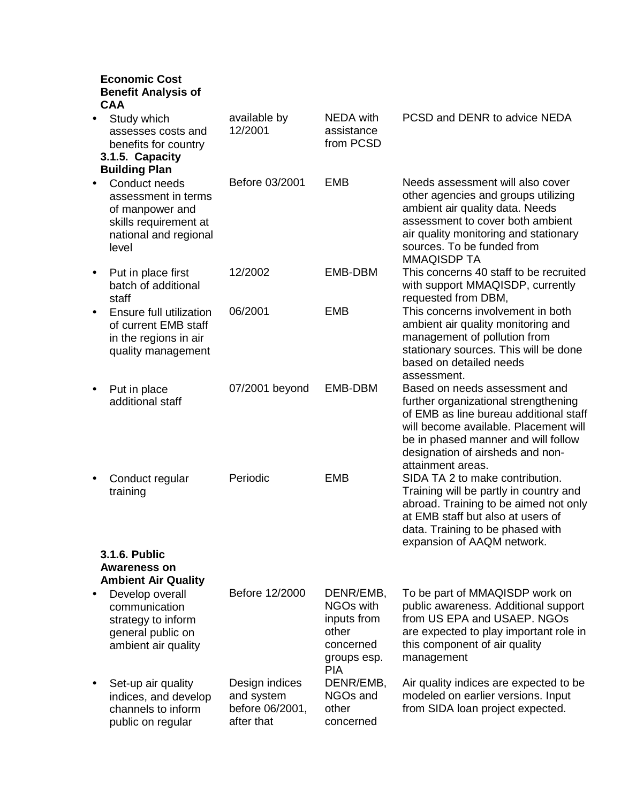## **Economic Cost Benefit Analysis of CAA**

| Study which<br>$\bullet$<br>assesses costs and<br>benefits for country<br>3.1.5. Capacity<br><b>Building Plan</b>               | available by<br>12/2001                                       | <b>NEDA</b> with<br>assistance<br>from PCSD                                                          | PCSD and DENR to advice NEDA                                                                                                                                                                                                                             |
|---------------------------------------------------------------------------------------------------------------------------------|---------------------------------------------------------------|------------------------------------------------------------------------------------------------------|----------------------------------------------------------------------------------------------------------------------------------------------------------------------------------------------------------------------------------------------------------|
| Conduct needs<br>$\bullet$<br>assessment in terms<br>of manpower and<br>skills requirement at<br>national and regional<br>level | Before 03/2001                                                | <b>EMB</b>                                                                                           | Needs assessment will also cover<br>other agencies and groups utilizing<br>ambient air quality data. Needs<br>assessment to cover both ambient<br>air quality monitoring and stationary<br>sources. To be funded from<br><b>MMAQISDP TA</b>              |
| Put in place first<br>$\bullet$<br>batch of additional<br>staff                                                                 | 12/2002                                                       | EMB-DBM                                                                                              | This concerns 40 staff to be recruited<br>with support MMAQISDP, currently<br>requested from DBM,                                                                                                                                                        |
| Ensure full utilization<br>$\bullet$<br>of current EMB staff<br>in the regions in air<br>quality management                     | 06/2001                                                       | <b>EMB</b>                                                                                           | This concerns involvement in both<br>ambient air quality monitoring and<br>management of pollution from<br>stationary sources. This will be done<br>based on detailed needs<br>assessment.                                                               |
| Put in place<br>$\bullet$<br>additional staff                                                                                   | 07/2001 beyond                                                | EMB-DBM                                                                                              | Based on needs assessment and<br>further organizational strengthening<br>of EMB as line bureau additional staff<br>will become available. Placement will<br>be in phased manner and will follow<br>designation of airsheds and non-<br>attainment areas. |
| Conduct regular<br>$\bullet$<br>training                                                                                        | Periodic                                                      | <b>EMB</b>                                                                                           | SIDA TA 2 to make contribution.<br>Training will be partly in country and<br>abroad. Training to be aimed not only<br>at EMB staff but also at users of<br>data. Training to be phased with<br>expansion of AAQM network.                                |
| 3.1.6. Public<br><b>Awareness on</b><br><b>Ambient Air Quality</b>                                                              |                                                               |                                                                                                      |                                                                                                                                                                                                                                                          |
| Develop overall<br>communication<br>strategy to inform<br>general public on<br>ambient air quality                              | Before 12/2000                                                | DENR/EMB,<br>NGO <sub>s</sub> with<br>inputs from<br>other<br>concerned<br>groups esp.<br><b>PIA</b> | To be part of MMAQISDP work on<br>public awareness. Additional support<br>from US EPA and USAEP. NGOs<br>are expected to play important role in<br>this component of air quality<br>management                                                           |
| Set-up air quality<br>$\bullet$<br>indices, and develop<br>channels to inform<br>public on regular                              | Design indices<br>and system<br>before 06/2001,<br>after that | DENR/EMB,<br>NGOs and<br>other<br>concerned                                                          | Air quality indices are expected to be<br>modeled on earlier versions. Input<br>from SIDA loan project expected.                                                                                                                                         |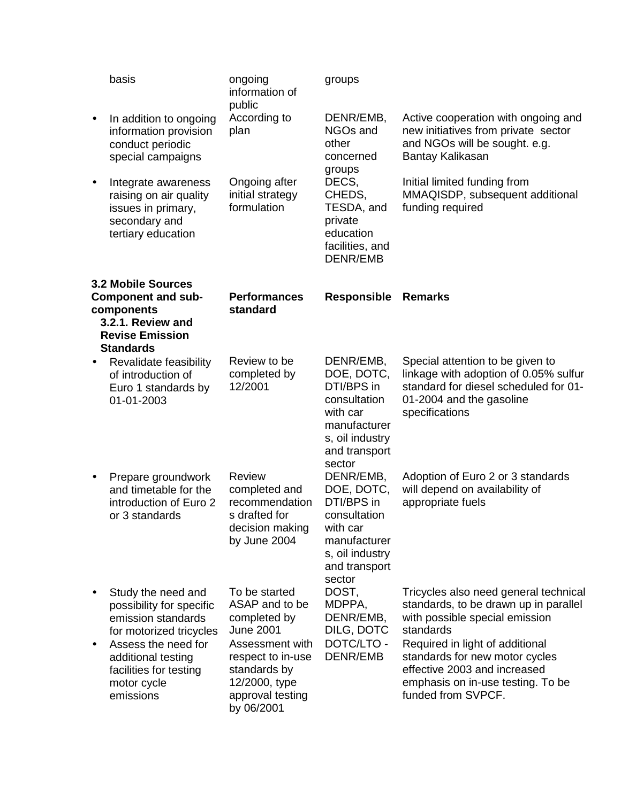| basis                                                                                                                                                                                              | ongoing<br>information of                                                                                                                                                      | groups                                                                                                                          |                                                                                                                                                                                                                                                                                               |
|----------------------------------------------------------------------------------------------------------------------------------------------------------------------------------------------------|--------------------------------------------------------------------------------------------------------------------------------------------------------------------------------|---------------------------------------------------------------------------------------------------------------------------------|-----------------------------------------------------------------------------------------------------------------------------------------------------------------------------------------------------------------------------------------------------------------------------------------------|
| In addition to ongoing<br>information provision<br>conduct periodic<br>special campaigns                                                                                                           | According to<br>plan                                                                                                                                                           | DENR/EMB,<br>NGOs and<br>other<br>concerned                                                                                     | Active cooperation with ongoing and<br>new initiatives from private sector<br>and NGOs will be sought. e.g.<br>Bantay Kalikasan                                                                                                                                                               |
| Integrate awareness<br>raising on air quality<br>issues in primary,<br>secondary and<br>tertiary education                                                                                         | Ongoing after<br>initial strategy<br>formulation                                                                                                                               | DECS,<br>CHEDS,<br>TESDA, and<br>private<br>education<br>facilities, and<br><b>DENR/EMB</b>                                     | Initial limited funding from<br>MMAQISDP, subsequent additional<br>funding required                                                                                                                                                                                                           |
|                                                                                                                                                                                                    | <b>Performances</b><br>standard                                                                                                                                                | <b>Responsible</b>                                                                                                              | <b>Remarks</b>                                                                                                                                                                                                                                                                                |
| Revalidate feasibility<br>of introduction of<br>Euro 1 standards by<br>01-01-2003                                                                                                                  | Review to be<br>completed by<br>12/2001                                                                                                                                        | DENR/EMB,<br>DOE, DOTC,<br>DTI/BPS in<br>consultation<br>with car<br>manufacturer<br>s, oil industry<br>and transport           | Special attention to be given to<br>linkage with adoption of 0.05% sulfur<br>standard for diesel scheduled for 01-<br>01-2004 and the gasoline<br>specifications                                                                                                                              |
| Prepare groundwork<br>and timetable for the<br>introduction of Euro 2<br>or 3 standards                                                                                                            | <b>Review</b><br>completed and<br>recommendation<br>s drafted for<br>decision making<br>by June 2004                                                                           | DENR/EMB,<br>DOE, DOTC,<br>DTI/BPS in<br>consultation<br>with car<br>manufacturer<br>s, oil industry<br>and transport<br>sector | Adoption of Euro 2 or 3 standards<br>will depend on availability of<br>appropriate fuels                                                                                                                                                                                                      |
| Study the need and<br>possibility for specific<br>emission standards<br>for motorized tricycles<br>Assess the need for<br>additional testing<br>facilities for testing<br>motor cycle<br>emissions | To be started<br>ASAP and to be<br>completed by<br><b>June 2001</b><br>Assessment with<br>respect to in-use<br>standards by<br>12/2000, type<br>approval testing<br>by 06/2001 | DOST,<br>MDPPA,<br>DENR/EMB,<br>DILG, DOTC<br>DOTC/LTO -<br><b>DENR/EMB</b>                                                     | Tricycles also need general technical<br>standards, to be drawn up in parallel<br>with possible special emission<br>standards<br>Required in light of additional<br>standards for new motor cycles<br>effective 2003 and increased<br>emphasis on in-use testing. To be<br>funded from SVPCF. |
|                                                                                                                                                                                                    | <b>3.2 Mobile Sources</b><br><b>Component and sub-</b><br>components<br>3.2.1. Review and<br><b>Revise Emission</b><br><b>Standards</b>                                        | public                                                                                                                          | groups<br>sector                                                                                                                                                                                                                                                                              |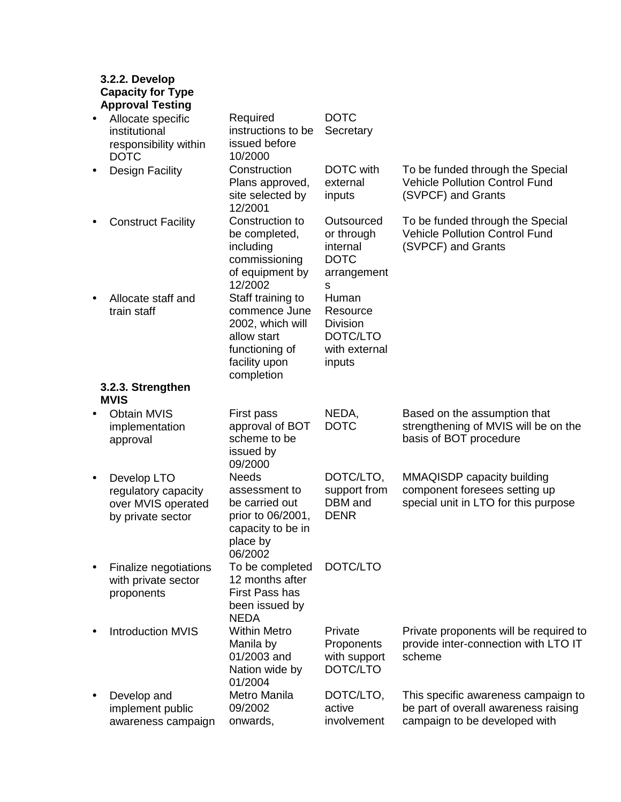## **3.2.2. Develop Capacity for Type Approval Testing**

| $\bullet$ | Allocate specific<br>institutional<br>responsibility within<br><b>DOTC</b>    | Required<br>instructions to be<br>issued before<br>10/2000                                                             | <b>DOTC</b><br>Secretary                                                    |                                                                                                              |
|-----------|-------------------------------------------------------------------------------|------------------------------------------------------------------------------------------------------------------------|-----------------------------------------------------------------------------|--------------------------------------------------------------------------------------------------------------|
|           | <b>Design Facility</b>                                                        | Construction<br>Plans approved,<br>site selected by<br>12/2001                                                         | <b>DOTC</b> with<br>external<br>inputs                                      | To be funded through the Special<br><b>Vehicle Pollution Control Fund</b><br>(SVPCF) and Grants              |
| $\bullet$ | <b>Construct Facility</b>                                                     | Construction to<br>be completed,<br>including<br>commissioning<br>of equipment by<br>12/2002                           | Outsourced<br>or through<br>internal<br><b>DOTC</b><br>arrangement<br>s     | To be funded through the Special<br><b>Vehicle Pollution Control Fund</b><br>(SVPCF) and Grants              |
| $\bullet$ | Allocate staff and<br>train staff                                             | Staff training to<br>commence June<br>2002, which will<br>allow start<br>functioning of<br>facility upon<br>completion | Human<br>Resource<br><b>Division</b><br>DOTC/LTO<br>with external<br>inputs |                                                                                                              |
|           | 3.2.3. Strengthen<br><b>MVIS</b>                                              |                                                                                                                        |                                                                             |                                                                                                              |
| $\bullet$ | <b>Obtain MVIS</b><br>implementation<br>approval                              | First pass<br>approval of BOT<br>scheme to be<br>issued by<br>09/2000                                                  | NEDA,<br><b>DOTC</b>                                                        | Based on the assumption that<br>strengthening of MVIS will be on the<br>basis of BOT procedure               |
| $\bullet$ | Develop LTO<br>regulatory capacity<br>over MVIS operated<br>by private sector | <b>Needs</b><br>assessment to<br>be carried out<br>prior to 06/2001,<br>capacity to be in<br>place by<br>06/2002       | DOTC/LTO,<br>support from<br>DBM and<br><b>DENR</b>                         | MMAQISDP capacity building<br>component foresees setting up<br>special unit in LTO for this purpose          |
|           | Finalize negotiations<br>with private sector<br>proponents                    | To be completed<br>12 months after<br><b>First Pass has</b><br>been issued by<br><b>NEDA</b>                           | DOTC/LTO                                                                    |                                                                                                              |
|           | <b>Introduction MVIS</b>                                                      | <b>Within Metro</b><br>Manila by<br>01/2003 and<br>Nation wide by<br>01/2004                                           | Private<br>Proponents<br>with support<br>DOTC/LTO                           | Private proponents will be required to<br>provide inter-connection with LTO IT<br>scheme                     |
|           | Develop and<br>implement public<br>awareness campaign                         | Metro Manila<br>09/2002<br>onwards,                                                                                    | DOTC/LTO,<br>active<br>involvement                                          | This specific awareness campaign to<br>be part of overall awareness raising<br>campaign to be developed with |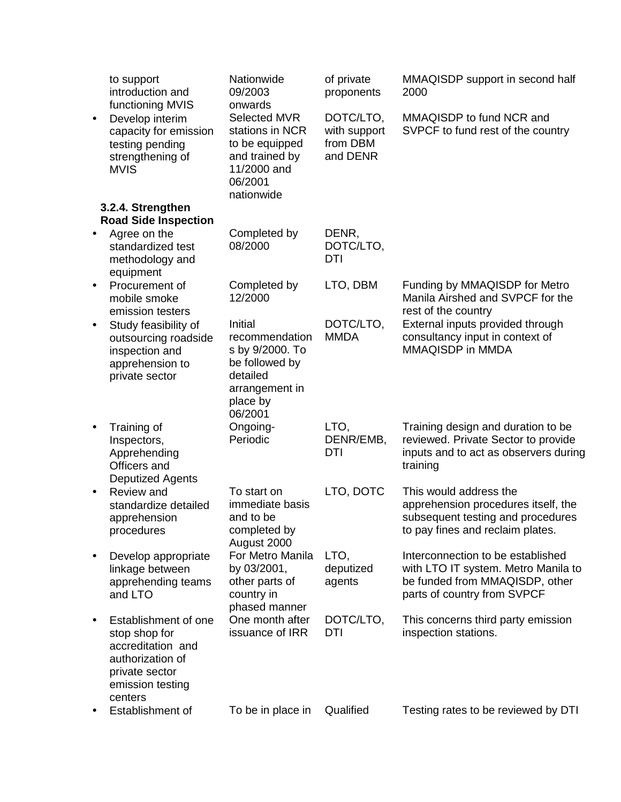|           | to support<br>introduction and<br>functioning MVIS                                                                              | Nationwide<br>09/2003<br>onwards                                                                                    | of private<br>proponents                          | MMAQISDP support in second half<br>2000                                                                                                   |
|-----------|---------------------------------------------------------------------------------------------------------------------------------|---------------------------------------------------------------------------------------------------------------------|---------------------------------------------------|-------------------------------------------------------------------------------------------------------------------------------------------|
| $\bullet$ | Develop interim<br>capacity for emission<br>testing pending<br>strengthening of<br><b>MVIS</b>                                  | Selected MVR<br>stations in NCR<br>to be equipped<br>and trained by<br>11/2000 and<br>06/2001<br>nationwide         | DOTC/LTO,<br>with support<br>from DBM<br>and DENR | MMAQISDP to fund NCR and<br>SVPCF to fund rest of the country                                                                             |
|           | 3.2.4. Strengthen<br><b>Road Side Inspection</b>                                                                                |                                                                                                                     |                                                   |                                                                                                                                           |
| $\bullet$ | Agree on the<br>standardized test<br>methodology and<br>equipment                                                               | Completed by<br>08/2000                                                                                             | DENR,<br>DOTC/LTO,<br>DTI                         |                                                                                                                                           |
| $\bullet$ | Procurement of<br>mobile smoke<br>emission testers                                                                              | Completed by<br>12/2000                                                                                             | LTO, DBM                                          | Funding by MMAQISDP for Metro<br>Manila Airshed and SVPCF for the<br>rest of the country                                                  |
| $\bullet$ | Study feasibility of<br>outsourcing roadside<br>inspection and<br>apprehension to<br>private sector                             | Initial<br>recommendation<br>s by 9/2000. To<br>be followed by<br>detailed<br>arrangement in<br>place by<br>06/2001 | DOTC/LTO,<br><b>MMDA</b>                          | External inputs provided through<br>consultancy input in context of<br>MMAQISDP in MMDA                                                   |
| $\bullet$ | Training of<br>Inspectors,<br>Apprehending<br>Officers and<br><b>Deputized Agents</b>                                           | Ongoing-<br>Periodic                                                                                                | LTO,<br>DENR/EMB,<br><b>DTI</b>                   | Training design and duration to be<br>reviewed. Private Sector to provide<br>inputs and to act as observers during<br>training            |
| $\bullet$ | Review and<br>standardize detailed<br>apprehension<br>procedures                                                                | To start on<br>immediate basis<br>and to be<br>completed by<br>August 2000                                          | LTO, DOTC                                         | This would address the<br>apprehension procedures itself, the<br>subsequent testing and procedures<br>to pay fines and reclaim plates.    |
| ٠         | Develop appropriate<br>linkage between<br>apprehending teams<br>and LTO                                                         | For Metro Manila<br>by 03/2001,<br>other parts of<br>country in<br>phased manner                                    | LTO,<br>deputized<br>agents                       | Interconnection to be established<br>with LTO IT system. Metro Manila to<br>be funded from MMAQISDP, other<br>parts of country from SVPCF |
| ٠         | Establishment of one<br>stop shop for<br>accreditation and<br>authorization of<br>private sector<br>emission testing<br>centers | One month after<br>issuance of IRR                                                                                  | DOTC/LTO,<br>DTI                                  | This concerns third party emission<br>inspection stations.                                                                                |
|           | Establishment of                                                                                                                | To be in place in                                                                                                   | Qualified                                         | Testing rates to be reviewed by DTI                                                                                                       |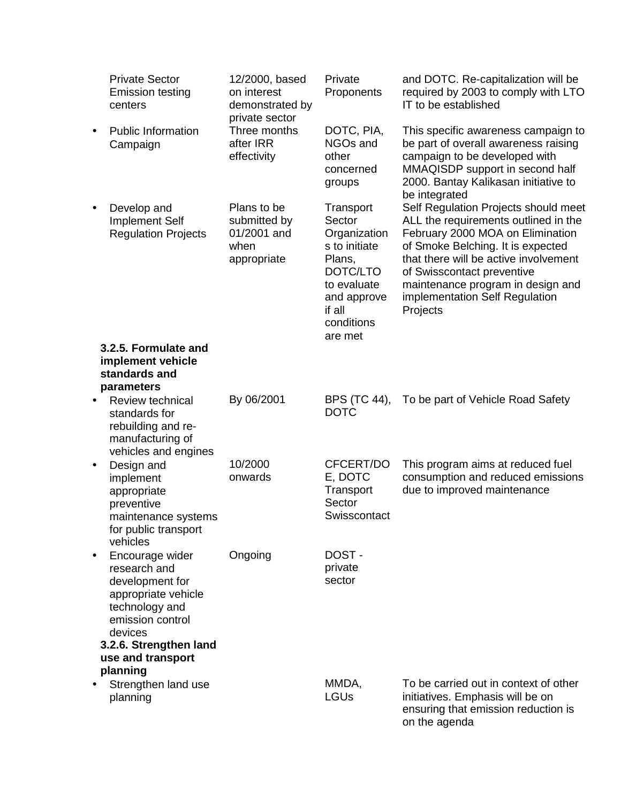|           | <b>Private Sector</b><br><b>Emission testing</b><br>centers                                                                                                                           | 12/2000, based<br>on interest<br>demonstrated by<br>private sector | Private<br>Proponents                                                                                                                       | and DOTC. Re-capitalization will be<br>required by 2003 to comply with LTO<br>IT to be established                                                                                                                                                                                                              |
|-----------|---------------------------------------------------------------------------------------------------------------------------------------------------------------------------------------|--------------------------------------------------------------------|---------------------------------------------------------------------------------------------------------------------------------------------|-----------------------------------------------------------------------------------------------------------------------------------------------------------------------------------------------------------------------------------------------------------------------------------------------------------------|
|           | <b>Public Information</b><br>Campaign                                                                                                                                                 | Three months<br>after IRR<br>effectivity                           | DOTC, PIA,<br>NGOs and<br>other<br>concerned<br>groups                                                                                      | This specific awareness campaign to<br>be part of overall awareness raising<br>campaign to be developed with<br>MMAQISDP support in second half<br>2000. Bantay Kalikasan initiative to<br>be integrated                                                                                                        |
| $\bullet$ | Develop and<br><b>Implement Self</b><br><b>Regulation Projects</b>                                                                                                                    | Plans to be<br>submitted by<br>01/2001 and<br>when<br>appropriate  | Transport<br>Sector<br>Organization<br>s to initiate<br>Plans,<br>DOTC/LTO<br>to evaluate<br>and approve<br>if all<br>conditions<br>are met | Self Regulation Projects should meet<br>ALL the requirements outlined in the<br>February 2000 MOA on Elimination<br>of Smoke Belching. It is expected<br>that there will be active involvement<br>of Swisscontact preventive<br>maintenance program in design and<br>implementation Self Regulation<br>Projects |
|           | 3.2.5. Formulate and<br>implement vehicle                                                                                                                                             |                                                                    |                                                                                                                                             |                                                                                                                                                                                                                                                                                                                 |
|           | standards and                                                                                                                                                                         |                                                                    |                                                                                                                                             |                                                                                                                                                                                                                                                                                                                 |
|           | parameters<br><b>Review technical</b>                                                                                                                                                 | By 06/2001                                                         | BPS (TC 44),                                                                                                                                | To be part of Vehicle Road Safety                                                                                                                                                                                                                                                                               |
| $\bullet$ | standards for<br>rebuilding and re-<br>manufacturing of<br>vehicles and engines                                                                                                       |                                                                    | <b>DOTC</b>                                                                                                                                 |                                                                                                                                                                                                                                                                                                                 |
| ٠         | Design and<br>implement<br>appropriate<br>preventive<br>maintenance systems<br>for public transport<br>vehicles                                                                       | 10/2000<br>onwards                                                 | CFCERT/DO<br>E, DOTC<br>Transport<br>Sector<br>Swisscontact                                                                                 | This program aims at reduced fuel<br>consumption and reduced emissions<br>due to improved maintenance                                                                                                                                                                                                           |
|           | Encourage wider<br>research and<br>development for<br>appropriate vehicle<br>technology and<br>emission control<br>devices<br>3.2.6. Strengthen land<br>use and transport<br>planning | Ongoing                                                            | DOST-<br>private<br>sector                                                                                                                  |                                                                                                                                                                                                                                                                                                                 |
|           | Strengthen land use<br>planning                                                                                                                                                       |                                                                    | MMDA,<br><b>LGUs</b>                                                                                                                        | To be carried out in context of other<br>initiatives. Emphasis will be on<br>ensuring that emission reduction is<br>on the agenda                                                                                                                                                                               |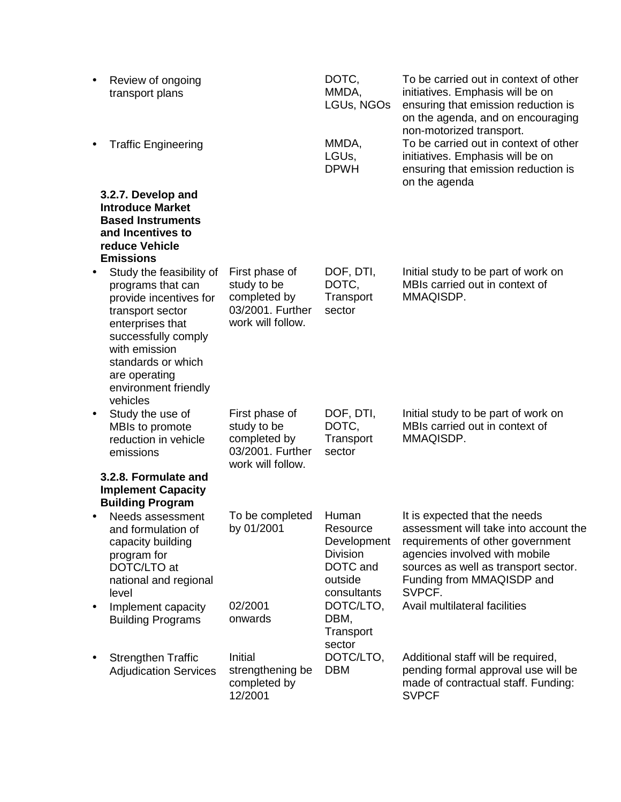| $\bullet$ | Review of ongoing<br>transport plans                                                                                                                                                                                               |                                                                                        | DOTC,<br>MMDA,<br>LGUs, NGOs                                                              | To be carried out in context of other<br>initiatives. Emphasis will be on<br>ensuring that emission reduction is<br>on the agenda, and on encouraging<br>non-motorized transport.                                          |
|-----------|------------------------------------------------------------------------------------------------------------------------------------------------------------------------------------------------------------------------------------|----------------------------------------------------------------------------------------|-------------------------------------------------------------------------------------------|----------------------------------------------------------------------------------------------------------------------------------------------------------------------------------------------------------------------------|
|           | <b>Traffic Engineering</b>                                                                                                                                                                                                         |                                                                                        | MMDA,<br>LGUs,<br><b>DPWH</b>                                                             | To be carried out in context of other<br>initiatives. Emphasis will be on<br>ensuring that emission reduction is<br>on the agenda                                                                                          |
|           | 3.2.7. Develop and<br><b>Introduce Market</b><br><b>Based Instruments</b><br>and Incentives to<br>reduce Vehicle<br><b>Emissions</b>                                                                                               |                                                                                        |                                                                                           |                                                                                                                                                                                                                            |
|           | Study the feasibility of<br>programs that can<br>provide incentives for<br>transport sector<br>enterprises that<br>successfully comply<br>with emission<br>standards or which<br>are operating<br>environment friendly<br>vehicles | First phase of<br>study to be<br>completed by<br>03/2001. Further<br>work will follow. | DOF, DTI,<br>DOTC,<br>Transport<br>sector                                                 | Initial study to be part of work on<br>MBIs carried out in context of<br>MMAQISDP.                                                                                                                                         |
| $\bullet$ | Study the use of<br>MBIs to promote<br>reduction in vehicle<br>emissions                                                                                                                                                           | First phase of<br>study to be<br>completed by<br>03/2001. Further<br>work will follow. | DOF, DTI,<br>DOTC,<br>Transport<br>sector                                                 | Initial study to be part of work on<br>MBIs carried out in context of<br>MMAQISDP.                                                                                                                                         |
|           | 3.2.8. Formulate and<br><b>Implement Capacity</b><br><b>Building Program</b>                                                                                                                                                       |                                                                                        |                                                                                           |                                                                                                                                                                                                                            |
|           | Needs assessment<br>and formulation of<br>capacity building<br>program for<br>DOTC/LTO at<br>national and regional<br>level                                                                                                        | To be completed<br>by 01/2001                                                          | Human<br>Resource<br>Development<br><b>Division</b><br>DOTC and<br>outside<br>consultants | It is expected that the needs<br>assessment will take into account the<br>requirements of other government<br>agencies involved with mobile<br>sources as well as transport sector.<br>Funding from MMAQISDP and<br>SVPCF. |
|           | Implement capacity<br><b>Building Programs</b>                                                                                                                                                                                     | 02/2001<br>onwards                                                                     | DOTC/LTO,<br>DBM,<br>Transport<br>sector                                                  | Avail multilateral facilities                                                                                                                                                                                              |
|           | <b>Strengthen Traffic</b><br><b>Adjudication Services</b>                                                                                                                                                                          | Initial<br>strengthening be<br>completed by<br>12/2001                                 | DOTC/LTO,<br><b>DBM</b>                                                                   | Additional staff will be required,<br>pending formal approval use will be<br>made of contractual staff. Funding:<br><b>SVPCF</b>                                                                                           |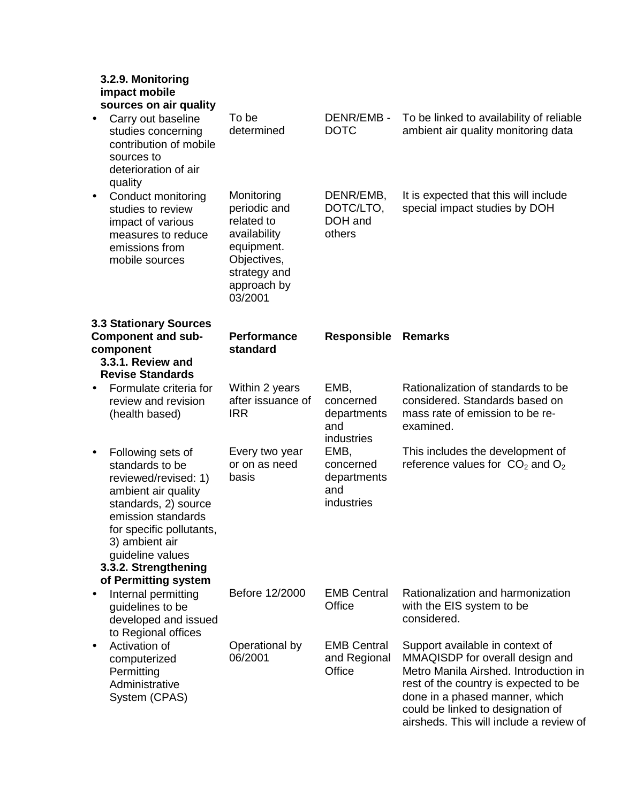|           | 3.2.9. Monitoring<br>impact mobile<br>sources on air quality                                                                                                                                                                |                                                                                                                                 |                                                       |                                                                                                                                                                                                                                                                        |
|-----------|-----------------------------------------------------------------------------------------------------------------------------------------------------------------------------------------------------------------------------|---------------------------------------------------------------------------------------------------------------------------------|-------------------------------------------------------|------------------------------------------------------------------------------------------------------------------------------------------------------------------------------------------------------------------------------------------------------------------------|
|           | Carry out baseline<br>studies concerning<br>contribution of mobile<br>sources to<br>deterioration of air<br>quality                                                                                                         | To be<br>determined                                                                                                             | DENR/EMB-<br><b>DOTC</b>                              | To be linked to availability of reliable<br>ambient air quality monitoring data                                                                                                                                                                                        |
| $\bullet$ | Conduct monitoring<br>studies to review<br>impact of various<br>measures to reduce<br>emissions from<br>mobile sources                                                                                                      | Monitoring<br>periodic and<br>related to<br>availability<br>equipment.<br>Objectives,<br>strategy and<br>approach by<br>03/2001 | DENR/EMB,<br>DOTC/LTO,<br>DOH and<br>others           | It is expected that this will include<br>special impact studies by DOH                                                                                                                                                                                                 |
|           | <b>3.3 Stationary Sources</b>                                                                                                                                                                                               | <b>Performance</b>                                                                                                              |                                                       |                                                                                                                                                                                                                                                                        |
|           | <b>Component and sub-</b><br>component<br>3.3.1. Review and<br><b>Revise Standards</b>                                                                                                                                      | standard                                                                                                                        | <b>Responsible</b>                                    | <b>Remarks</b>                                                                                                                                                                                                                                                         |
|           | Formulate criteria for<br>review and revision<br>(health based)                                                                                                                                                             | Within 2 years<br>after issuance of<br><b>IRR</b>                                                                               | EMB,<br>concerned<br>departments<br>and<br>industries | Rationalization of standards to be<br>considered. Standards based on<br>mass rate of emission to be re-<br>examined.                                                                                                                                                   |
| $\bullet$ | Following sets of<br>standards to be<br>reviewed/revised: 1)<br>ambient air quality<br>standards, 2) source<br>emission standards<br>for specific pollutants,<br>3) ambient air<br>guideline values<br>3.3.2. Strengthening | Every two year<br>or on as need<br>basis                                                                                        | EMB,<br>concerned<br>departments<br>and<br>industries | This includes the development of<br>reference values for $CO2$ and $O2$                                                                                                                                                                                                |
| $\bullet$ | of Permitting system<br>Internal permitting<br>guidelines to be<br>developed and issued<br>to Regional offices                                                                                                              | Before 12/2000                                                                                                                  | <b>EMB Central</b><br>Office                          | Rationalization and harmonization<br>with the EIS system to be<br>considered.                                                                                                                                                                                          |
|           | Activation of<br>computerized<br>Permitting<br>Administrative<br>System (CPAS)                                                                                                                                              | Operational by<br>06/2001                                                                                                       | <b>EMB Central</b><br>and Regional<br>Office          | Support available in context of<br>MMAQISDP for overall design and<br>Metro Manila Airshed. Introduction in<br>rest of the country is expected to be<br>done in a phased manner, which<br>could be linked to designation of<br>airsheds. This will include a review of |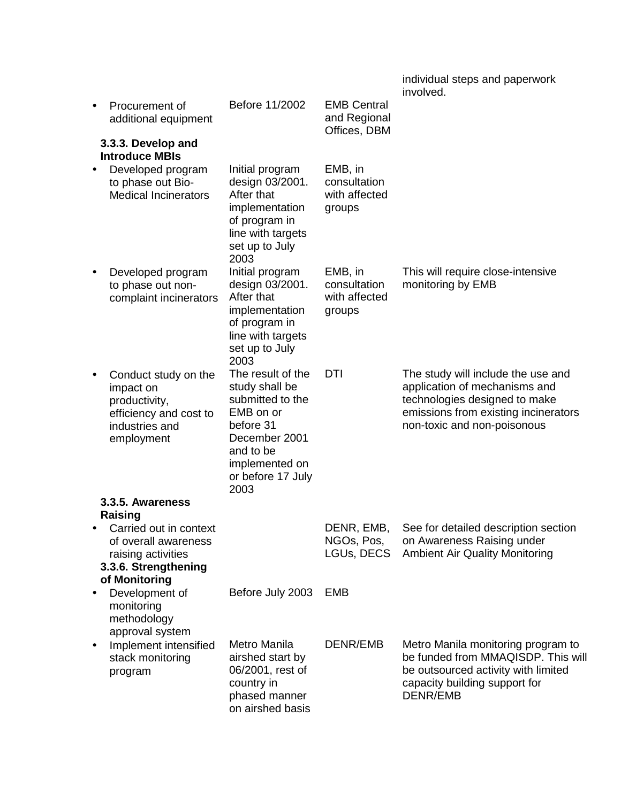|           |                                                                                                               |                                                                                                                                                                |                                                    | individual steps and paperwork<br>involved.                                                                                                                                 |
|-----------|---------------------------------------------------------------------------------------------------------------|----------------------------------------------------------------------------------------------------------------------------------------------------------------|----------------------------------------------------|-----------------------------------------------------------------------------------------------------------------------------------------------------------------------------|
|           | Procurement of<br>additional equipment                                                                        | Before 11/2002                                                                                                                                                 | <b>EMB Central</b><br>and Regional<br>Offices, DBM |                                                                                                                                                                             |
|           | 3.3.3. Develop and<br><b>Introduce MBIs</b>                                                                   |                                                                                                                                                                |                                                    |                                                                                                                                                                             |
| $\bullet$ | Developed program<br>to phase out Bio-<br><b>Medical Incinerators</b>                                         | Initial program<br>design 03/2001.<br>After that<br>implementation<br>of program in<br>line with targets<br>set up to July<br>2003                             | EMB, in<br>consultation<br>with affected<br>groups |                                                                                                                                                                             |
| $\bullet$ | Developed program<br>to phase out non-<br>complaint incinerators                                              | Initial program<br>design 03/2001.<br>After that<br>implementation<br>of program in<br>line with targets<br>set up to July<br>2003                             | EMB, in<br>consultation<br>with affected<br>groups | This will require close-intensive<br>monitoring by EMB                                                                                                                      |
|           | Conduct study on the<br>impact on<br>productivity,<br>efficiency and cost to<br>industries and<br>employment  | The result of the<br>study shall be<br>submitted to the<br>EMB on or<br>before 31<br>December 2001<br>and to be<br>implemented on<br>or before 17 July<br>2003 | <b>DTI</b>                                         | The study will include the use and<br>application of mechanisms and<br>technologies designed to make<br>emissions from existing incinerators<br>non-toxic and non-poisonous |
|           | 3.3.5. Awareness<br>Raising                                                                                   |                                                                                                                                                                |                                                    |                                                                                                                                                                             |
|           | Carried out in context<br>of overall awareness<br>raising activities<br>3.3.6. Strengthening<br>of Monitoring |                                                                                                                                                                | DENR, EMB,<br>NGOs, Pos,<br>LGUs, DECS             | See for detailed description section<br>on Awareness Raising under<br><b>Ambient Air Quality Monitoring</b>                                                                 |
|           | Development of<br>monitoring<br>methodology<br>approval system                                                | Before July 2003                                                                                                                                               | <b>EMB</b>                                         |                                                                                                                                                                             |
| ٠         | Implement intensified<br>stack monitoring<br>program                                                          | Metro Manila<br>airshed start by<br>06/2001, rest of<br>country in<br>phased manner<br>on airshed basis                                                        | DENR/EMB                                           | Metro Manila monitoring program to<br>be funded from MMAQISDP. This will<br>be outsourced activity with limited<br>capacity building support for<br>DENR/EMB                |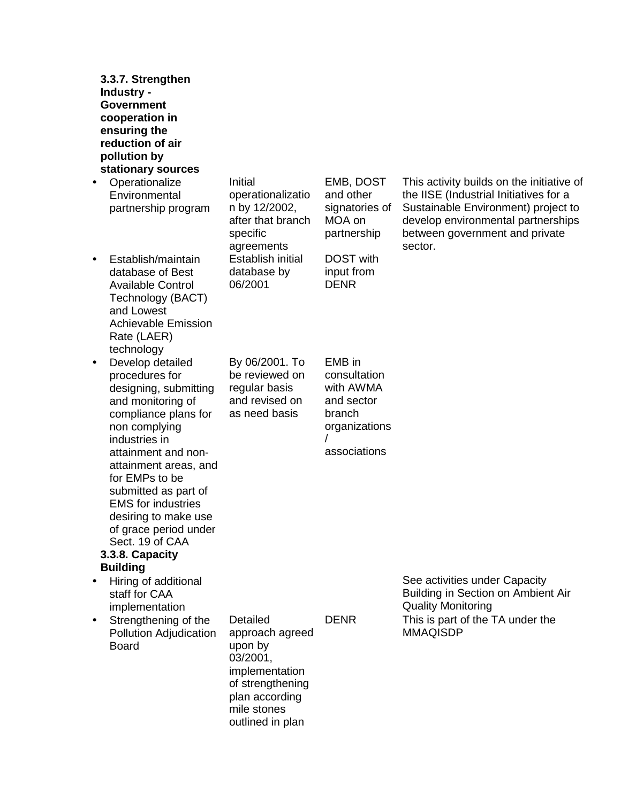| 3.3.7. Strengthen<br>Industry -<br><b>Government</b><br>cooperation in<br>ensuring the<br>reduction of air<br>pollution by<br>stationary sources                                                                                                                                                                                                                      |                                                                                                                                               |                                                                                              |                                                                                                                                                                                                               |
|-----------------------------------------------------------------------------------------------------------------------------------------------------------------------------------------------------------------------------------------------------------------------------------------------------------------------------------------------------------------------|-----------------------------------------------------------------------------------------------------------------------------------------------|----------------------------------------------------------------------------------------------|---------------------------------------------------------------------------------------------------------------------------------------------------------------------------------------------------------------|
| Operationalize<br>$\bullet$<br>Environmental<br>partnership program                                                                                                                                                                                                                                                                                                   | Initial<br>operationalizatio<br>n by 12/2002,<br>after that branch<br>specific<br>agreements                                                  | EMB, DOST<br>and other<br>signatories of<br>MOA on<br>partnership                            | This activity builds on the initiative of<br>the IISE (Industrial Initiatives for a<br>Sustainable Environment) project to<br>develop environmental partnerships<br>between government and private<br>sector. |
| Establish/maintain<br>$\bullet$<br>database of Best<br><b>Available Control</b><br>Technology (BACT)<br>and Lowest<br><b>Achievable Emission</b><br>Rate (LAER)<br>technology                                                                                                                                                                                         | Establish initial<br>database by<br>06/2001                                                                                                   | <b>DOST</b> with<br>input from<br><b>DENR</b>                                                |                                                                                                                                                                                                               |
| Develop detailed<br>$\bullet$<br>procedures for<br>designing, submitting<br>and monitoring of<br>compliance plans for<br>non complying<br>industries in<br>attainment and non-<br>attainment areas, and<br>for EMPs to be<br>submitted as part of<br><b>EMS</b> for industries<br>desiring to make use<br>of grace period under<br>Sect. 19 of CAA<br>3.3.8. Capacity | By 06/2001. To<br>be reviewed on<br>regular basis<br>and revised on<br>as need basis                                                          | EMB in<br>consultation<br>with AWMA<br>and sector<br>branch<br>organizations<br>associations |                                                                                                                                                                                                               |
| <b>Building</b><br>Hiring of additional<br>٠<br>staff for CAA<br>implementation<br>Strengthening of the<br>٠<br>Pollution Adjudication<br><b>Board</b>                                                                                                                                                                                                                | Detailed<br>approach agreed<br>upon by<br>03/2001,<br>implementation<br>of strengthening<br>plan according<br>mile stones<br>outlined in plan | <b>DENR</b>                                                                                  | See activities under Capacity<br>Building in Section on Ambient Air<br><b>Quality Monitoring</b><br>This is part of the TA under the<br><b>MMAQISDP</b>                                                       |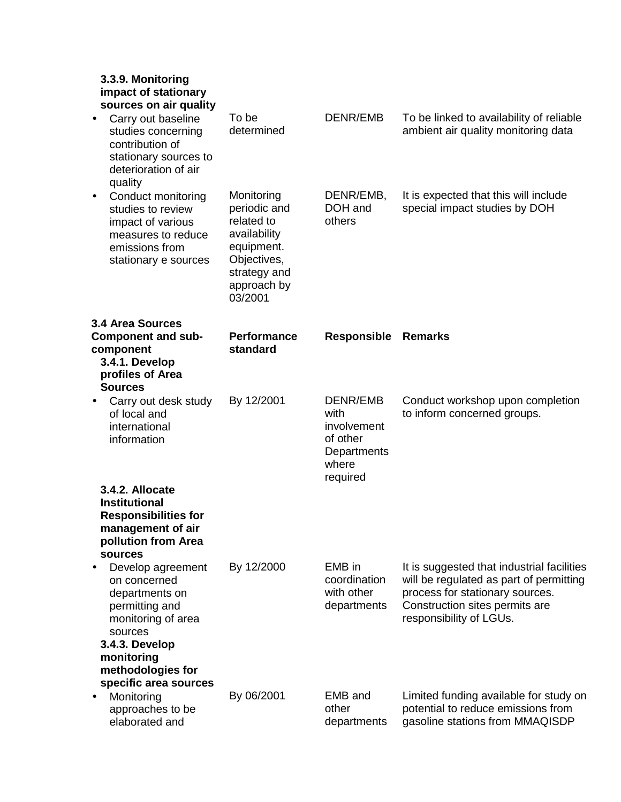## **3.3.9. Monitoring impact of stationary sources on air quality**

| suurucs un an quanty<br>Carry out baseline<br>studies concerning<br>contribution of<br>stationary sources to<br>deterioration of air<br>quality | To be<br>determined                                                                                                             | <b>DENR/EMB</b>                                                                 | To be linked to availability of reliable<br>ambient air quality monitoring data                                                                                                       |
|-------------------------------------------------------------------------------------------------------------------------------------------------|---------------------------------------------------------------------------------------------------------------------------------|---------------------------------------------------------------------------------|---------------------------------------------------------------------------------------------------------------------------------------------------------------------------------------|
| Conduct monitoring<br>$\bullet$<br>studies to review<br>impact of various<br>measures to reduce<br>emissions from<br>stationary e sources       | Monitoring<br>periodic and<br>related to<br>availability<br>equipment.<br>Objectives,<br>strategy and<br>approach by<br>03/2001 | DENR/EMB,<br>DOH and<br>others                                                  | It is expected that this will include<br>special impact studies by DOH                                                                                                                |
| <b>3.4 Area Sources</b><br><b>Component and sub-</b><br>component<br>3.4.1. Develop<br>profiles of Area<br><b>Sources</b>                       | <b>Performance</b><br>standard                                                                                                  | <b>Responsible</b>                                                              | <b>Remarks</b>                                                                                                                                                                        |
| Carry out desk study<br>$\bullet$<br>of local and<br>international<br>information                                                               | By 12/2001                                                                                                                      | DENR/EMB<br>with<br>involvement<br>of other<br>Departments<br>where<br>required | Conduct workshop upon completion<br>to inform concerned groups.                                                                                                                       |
| 3.4.2. Allocate<br><b>Institutional</b><br><b>Responsibilities for</b><br>management of air<br>pollution from Area<br>sources                   |                                                                                                                                 |                                                                                 |                                                                                                                                                                                       |
| Develop agreement<br>on concerned<br>departments on<br>permitting and<br>monitoring of area<br>sources<br>3.4.3. Develop<br>monitoring          | By 12/2000                                                                                                                      | EMB in<br>coordination<br>with other<br>departments                             | It is suggested that industrial facilities<br>will be regulated as part of permitting<br>process for stationary sources.<br>Construction sites permits are<br>responsibility of LGUs. |
| methodologies for<br>specific area sources<br>Monitoring<br>approaches to be<br>elaborated and                                                  | By 06/2001                                                                                                                      | <b>EMB</b> and<br>other<br>departments                                          | Limited funding available for study on<br>potential to reduce emissions from<br>gasoline stations from MMAQISDP                                                                       |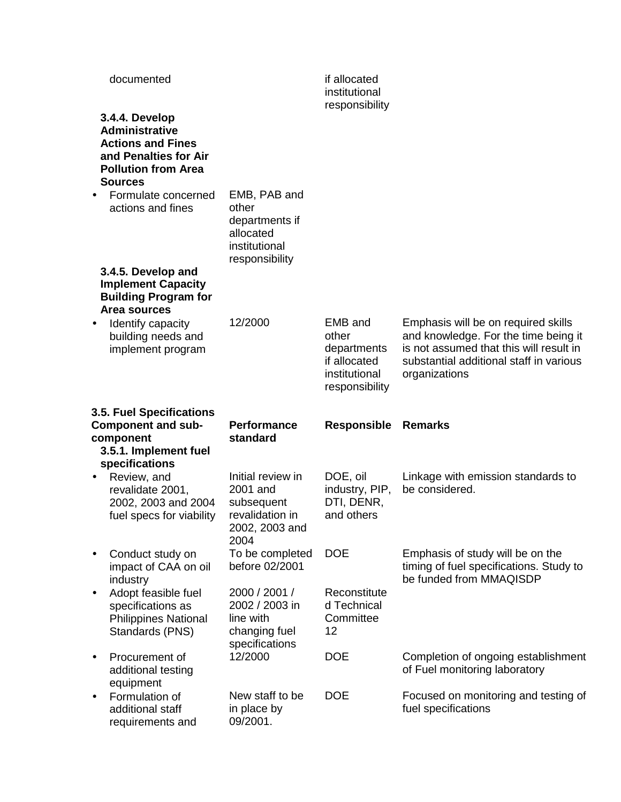|           | documented                                                                                                                                   |                                                                                         | if allocated<br>institutional<br>responsibility                                    |                                                                                                                                                                                    |
|-----------|----------------------------------------------------------------------------------------------------------------------------------------------|-----------------------------------------------------------------------------------------|------------------------------------------------------------------------------------|------------------------------------------------------------------------------------------------------------------------------------------------------------------------------------|
|           | 3.4.4. Develop<br><b>Administrative</b><br><b>Actions and Fines</b><br>and Penalties for Air<br><b>Pollution from Area</b><br><b>Sources</b> |                                                                                         |                                                                                    |                                                                                                                                                                                    |
|           | Formulate concerned<br>actions and fines                                                                                                     | EMB, PAB and<br>other<br>departments if<br>allocated<br>institutional<br>responsibility |                                                                                    |                                                                                                                                                                                    |
|           | 3.4.5. Develop and<br><b>Implement Capacity</b><br><b>Building Program for</b><br>Area sources                                               |                                                                                         |                                                                                    |                                                                                                                                                                                    |
|           | Identify capacity<br>building needs and<br>implement program                                                                                 | 12/2000                                                                                 | EMB and<br>other<br>departments<br>if allocated<br>institutional<br>responsibility | Emphasis will be on required skills<br>and knowledge. For the time being it<br>is not assumed that this will result in<br>substantial additional staff in various<br>organizations |
|           |                                                                                                                                              |                                                                                         |                                                                                    |                                                                                                                                                                                    |
|           | 3.5. Fuel Specifications<br><b>Component and sub-</b><br>component<br>3.5.1. Implement fuel                                                  | <b>Performance</b><br>standard                                                          | <b>Responsible Remarks</b>                                                         |                                                                                                                                                                                    |
|           | specifications                                                                                                                               |                                                                                         |                                                                                    |                                                                                                                                                                                    |
| $\bullet$ | Review, and<br>revalidate 2001,<br>2002, 2003 and 2004<br>fuel specs for viability                                                           | Initial review in<br>2001 and<br>subsequent<br>revalidation in<br>2002, 2003 and        | DOE, oil<br>industry, PIP,<br>DTI, DENR,<br>and others                             | Linkage with emission standards to<br>be considered.                                                                                                                               |
|           | Conduct study on<br>impact of CAA on oil                                                                                                     | 2004<br>To be completed<br>before 02/2001                                               | <b>DOE</b>                                                                         | Emphasis of study will be on the<br>timing of fuel specifications. Study to<br>be funded from MMAQISDP                                                                             |
|           | industry<br>Adopt feasible fuel<br>specifications as<br><b>Philippines National</b><br>Standards (PNS)                                       | 2000 / 2001 /<br>2002 / 2003 in<br>line with<br>changing fuel                           | Reconstitute<br>d Technical<br>Committee<br>12                                     |                                                                                                                                                                                    |
|           | Procurement of<br>additional testing<br>equipment                                                                                            | specifications<br>12/2000                                                               | <b>DOE</b>                                                                         | Completion of ongoing establishment<br>of Fuel monitoring laboratory                                                                                                               |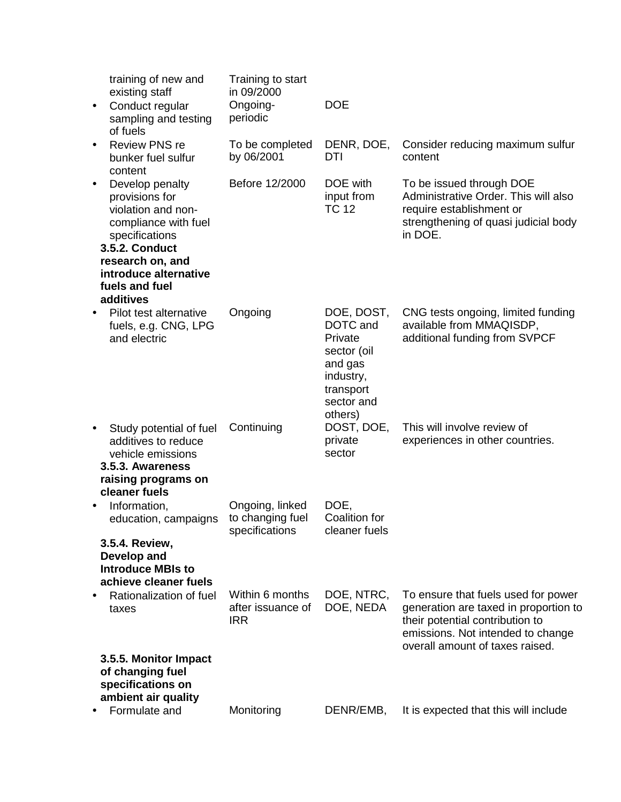| $\bullet$ | training of new and<br>existing staff<br>Conduct regular<br>sampling and testing                                                                                                                       | Training to start<br>in 09/2000<br>Ongoing-<br>periodic | <b>DOE</b>                                                                                                     |                                                                                                                                                                                         |
|-----------|--------------------------------------------------------------------------------------------------------------------------------------------------------------------------------------------------------|---------------------------------------------------------|----------------------------------------------------------------------------------------------------------------|-----------------------------------------------------------------------------------------------------------------------------------------------------------------------------------------|
| $\bullet$ | of fuels<br><b>Review PNS re</b><br>bunker fuel sulfur<br>content                                                                                                                                      | To be completed<br>by 06/2001                           | DENR, DOE,<br>DTI                                                                                              | Consider reducing maximum sulfur<br>content                                                                                                                                             |
| $\bullet$ | Develop penalty<br>provisions for<br>violation and non-<br>compliance with fuel<br>specifications<br><b>3.5.2. Conduct</b><br>research on, and<br>introduce alternative<br>fuels and fuel<br>additives | Before 12/2000                                          | DOE with<br>input from<br><b>TC 12</b>                                                                         | To be issued through DOE<br>Administrative Order. This will also<br>require establishment or<br>strengthening of quasi judicial body<br>in DOE.                                         |
| $\bullet$ | Pilot test alternative<br>fuels, e.g. CNG, LPG<br>and electric                                                                                                                                         | Ongoing                                                 | DOE, DOST,<br>DOTC and<br>Private<br>sector (oil<br>and gas<br>industry,<br>transport<br>sector and<br>others) | CNG tests ongoing, limited funding<br>available from MMAQISDP,<br>additional funding from SVPCF                                                                                         |
| $\bullet$ | Study potential of fuel<br>additives to reduce<br>vehicle emissions<br>3.5.3. Awareness<br>raising programs on<br>cleaner fuels                                                                        | Continuing                                              | DOST, DOE,<br>private<br>sector                                                                                | This will involve review of<br>experiences in other countries.                                                                                                                          |
| $\bullet$ | Information,<br>education, campaigns                                                                                                                                                                   | Ongoing, linked<br>to changing fuel<br>specifications   | DOE,<br>Coalition for<br>cleaner fuels                                                                         |                                                                                                                                                                                         |
|           | 3.5.4. Review,<br>Develop and<br><b>Introduce MBIs to</b><br>achieve cleaner fuels                                                                                                                     |                                                         |                                                                                                                |                                                                                                                                                                                         |
|           | Rationalization of fuel<br>taxes                                                                                                                                                                       | Within 6 months<br>after issuance of<br><b>IRR</b>      | DOE, NTRC,<br>DOE, NEDA                                                                                        | To ensure that fuels used for power<br>generation are taxed in proportion to<br>their potential contribution to<br>emissions. Not intended to change<br>overall amount of taxes raised. |
|           | 3.5.5. Monitor Impact<br>of changing fuel<br>specifications on                                                                                                                                         |                                                         |                                                                                                                |                                                                                                                                                                                         |
|           | ambient air quality<br>Formulate and                                                                                                                                                                   | Monitoring                                              | DENR/EMB,                                                                                                      | It is expected that this will include                                                                                                                                                   |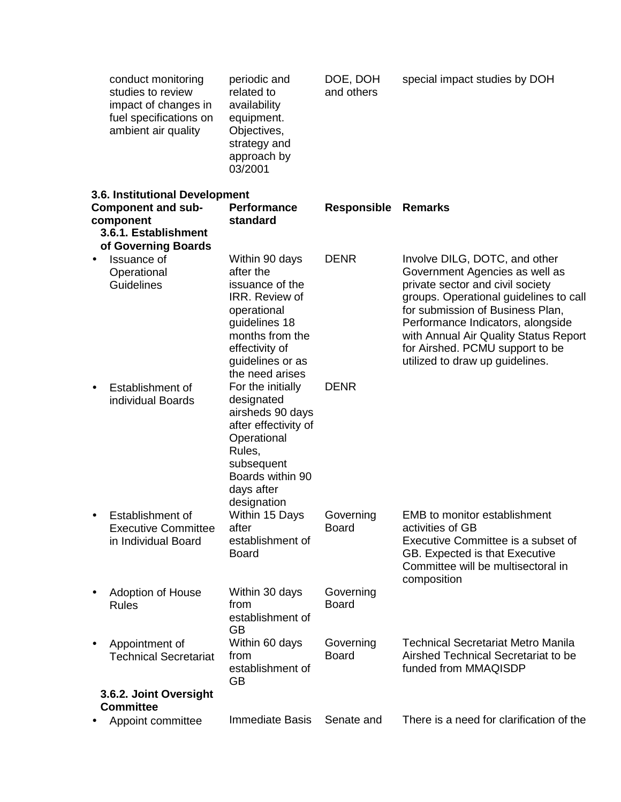|           | conduct monitoring<br>studies to review<br>impact of changes in<br>fuel specifications on<br>ambient air quality        | periodic and<br>related to<br>availability<br>equipment.<br>Objectives,<br>strategy and<br>approach by<br>03/2001                                                            | DOE, DOH<br>and others    | special impact studies by DOH                                                                                                                                                                                                                                                                                                         |
|-----------|-------------------------------------------------------------------------------------------------------------------------|------------------------------------------------------------------------------------------------------------------------------------------------------------------------------|---------------------------|---------------------------------------------------------------------------------------------------------------------------------------------------------------------------------------------------------------------------------------------------------------------------------------------------------------------------------------|
|           | 3.6. Institutional Development<br><b>Component and sub-</b><br>component<br>3.6.1. Establishment<br>of Governing Boards | <b>Performance</b><br>standard                                                                                                                                               | <b>Responsible</b>        | <b>Remarks</b>                                                                                                                                                                                                                                                                                                                        |
| $\bullet$ | Issuance of<br>Operational<br>Guidelines                                                                                | Within 90 days<br>after the<br>issuance of the<br>IRR. Review of<br>operational<br>guidelines 18<br>months from the<br>effectivity of<br>guidelines or as<br>the need arises | <b>DENR</b>               | Involve DILG, DOTC, and other<br>Government Agencies as well as<br>private sector and civil society<br>groups. Operational guidelines to call<br>for submission of Business Plan,<br>Performance Indicators, alongside<br>with Annual Air Quality Status Report<br>for Airshed. PCMU support to be<br>utilized to draw up guidelines. |
| $\bullet$ | Establishment of<br>individual Boards                                                                                   | For the initially<br>designated<br>airsheds 90 days<br>after effectivity of<br>Operational<br>Rules,<br>subsequent<br>Boards within 90<br>days after<br>designation          | <b>DENR</b>               |                                                                                                                                                                                                                                                                                                                                       |
| $\bullet$ | Establishment of<br><b>Executive Committee</b><br>in Individual Board                                                   | Within 15 Days<br>after<br>establishment of<br><b>Board</b>                                                                                                                  | Governing<br>Board        | <b>EMB</b> to monitor establishment<br>activities of GB<br>Executive Committee is a subset of<br>GB. Expected is that Executive<br>Committee will be multisectoral in<br>composition                                                                                                                                                  |
| ٠         | <b>Adoption of House</b><br><b>Rules</b>                                                                                | Within 30 days<br>from<br>establishment of<br><b>GB</b>                                                                                                                      | Governing<br><b>Board</b> |                                                                                                                                                                                                                                                                                                                                       |
| $\bullet$ | Appointment of<br><b>Technical Secretariat</b>                                                                          | Within 60 days<br>from<br>establishment of<br>GB                                                                                                                             | Governing<br><b>Board</b> | <b>Technical Secretariat Metro Manila</b><br>Airshed Technical Secretariat to be<br>funded from MMAQISDP                                                                                                                                                                                                                              |
|           | 3.6.2. Joint Oversight<br><b>Committee</b>                                                                              |                                                                                                                                                                              |                           |                                                                                                                                                                                                                                                                                                                                       |
|           | Appoint committee                                                                                                       | <b>Immediate Basis</b>                                                                                                                                                       | Senate and                | There is a need for clarification of the                                                                                                                                                                                                                                                                                              |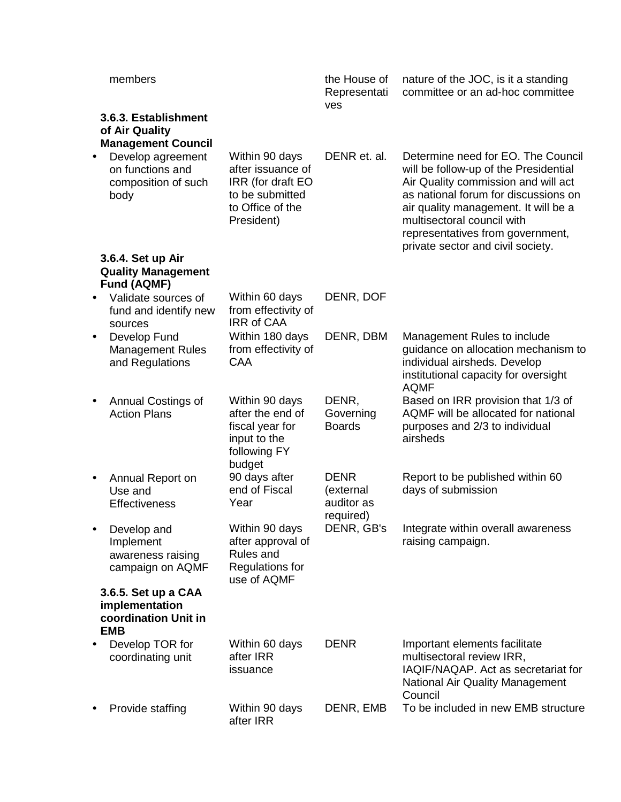|   | members                                                              |                                                                                                               | the House of<br>Representati<br>ves                 | nature of the JOC, is it a standing<br>committee or an ad-hoc committee                                                                                                                                                                                                                                   |
|---|----------------------------------------------------------------------|---------------------------------------------------------------------------------------------------------------|-----------------------------------------------------|-----------------------------------------------------------------------------------------------------------------------------------------------------------------------------------------------------------------------------------------------------------------------------------------------------------|
|   | 3.6.3. Establishment<br>of Air Quality<br><b>Management Council</b>  |                                                                                                               |                                                     |                                                                                                                                                                                                                                                                                                           |
|   | Develop agreement<br>on functions and<br>composition of such<br>body | Within 90 days<br>after issuance of<br>IRR (for draft EO<br>to be submitted<br>to Office of the<br>President) | DENR et. al.                                        | Determine need for EO. The Council<br>will be follow-up of the Presidential<br>Air Quality commission and will act<br>as national forum for discussions on<br>air quality management. It will be a<br>multisectoral council with<br>representatives from government,<br>private sector and civil society. |
|   | 3.6.4. Set up Air<br><b>Quality Management</b><br><b>Fund (AQMF)</b> |                                                                                                               |                                                     |                                                                                                                                                                                                                                                                                                           |
|   | Validate sources of<br>fund and identify new<br>sources              | Within 60 days<br>from effectivity of<br><b>IRR of CAA</b>                                                    | DENR, DOF                                           |                                                                                                                                                                                                                                                                                                           |
|   | Develop Fund<br><b>Management Rules</b><br>and Regulations           | Within 180 days<br>from effectivity of<br>CAA                                                                 | DENR, DBM                                           | Management Rules to include<br>guidance on allocation mechanism to<br>individual airsheds. Develop<br>institutional capacity for oversight<br><b>AQMF</b>                                                                                                                                                 |
|   | Annual Costings of<br><b>Action Plans</b>                            | Within 90 days<br>after the end of<br>fiscal year for<br>input to the<br>following FY<br>budget               | DENR,<br>Governing<br><b>Boards</b>                 | Based on IRR provision that 1/3 of<br>AQMF will be allocated for national<br>purposes and 2/3 to individual<br>airsheds                                                                                                                                                                                   |
| ٠ | Annual Report on<br>Use and<br><b>Effectiveness</b>                  | 90 days after<br>end of Fiscal<br>Year                                                                        | <b>DENR</b><br>(external<br>auditor as<br>required) | Report to be published within 60<br>days of submission                                                                                                                                                                                                                                                    |
|   | Develop and<br>Implement<br>awareness raising<br>campaign on AQMF    | Within 90 days<br>after approval of<br>Rules and<br>Regulations for<br>use of AQMF                            | DENR, GB's                                          | Integrate within overall awareness<br>raising campaign.                                                                                                                                                                                                                                                   |
|   | 3.6.5. Set up a CAA<br>implementation<br>coordination Unit in        |                                                                                                               |                                                     |                                                                                                                                                                                                                                                                                                           |
|   | <b>EMB</b><br>Develop TOR for<br>coordinating unit                   | Within 60 days<br>after IRR<br>issuance                                                                       | <b>DENR</b>                                         | Important elements facilitate<br>multisectoral review IRR,<br>IAQIF/NAQAP. Act as secretariat for<br>National Air Quality Management<br>Council                                                                                                                                                           |
|   | Provide staffing                                                     | Within 90 days<br>after IRR                                                                                   | DENR, EMB                                           | To be included in new EMB structure                                                                                                                                                                                                                                                                       |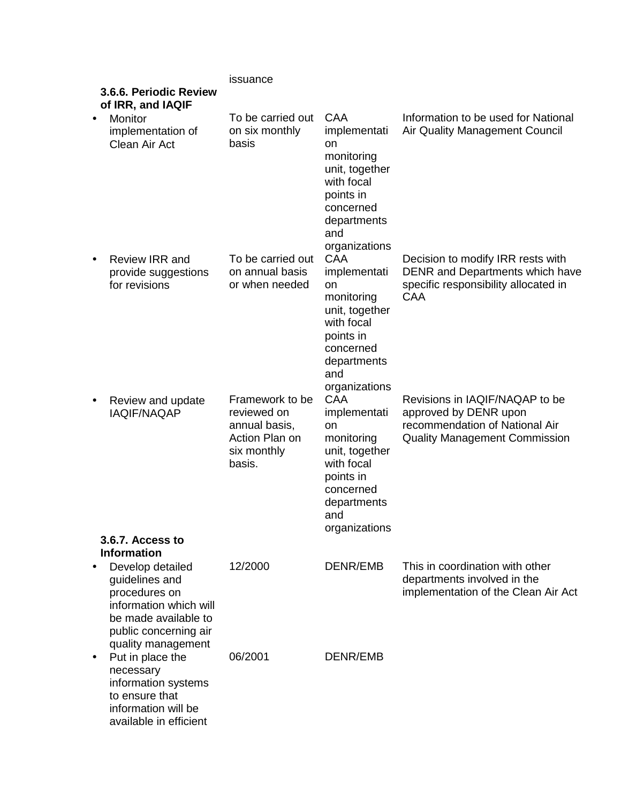|           |                                                                                                                                                      | issuance                                                                                   |                                                                                                                                                 |                                                                                                                                   |
|-----------|------------------------------------------------------------------------------------------------------------------------------------------------------|--------------------------------------------------------------------------------------------|-------------------------------------------------------------------------------------------------------------------------------------------------|-----------------------------------------------------------------------------------------------------------------------------------|
|           | 3.6.6. Periodic Review<br>of IRR, and IAQIF                                                                                                          |                                                                                            |                                                                                                                                                 |                                                                                                                                   |
| $\bullet$ | Monitor<br>implementation of<br>Clean Air Act                                                                                                        | To be carried out<br>on six monthly<br>basis                                               | <b>CAA</b><br>implementati<br>on<br>monitoring<br>unit, together<br>with focal<br>points in<br>concerned<br>departments<br>and<br>organizations | Information to be used for National<br><b>Air Quality Management Council</b>                                                      |
| $\bullet$ | Review IRR and<br>provide suggestions<br>for revisions                                                                                               | To be carried out<br>on annual basis<br>or when needed                                     | <b>CAA</b><br>implementati<br>on<br>monitoring<br>unit, together<br>with focal<br>points in<br>concerned<br>departments<br>and<br>organizations | Decision to modify IRR rests with<br>DENR and Departments which have<br>specific responsibility allocated in<br><b>CAA</b>        |
| $\bullet$ | Review and update<br><b>IAQIF/NAQAP</b><br>3.6.7. Access to                                                                                          | Framework to be<br>reviewed on<br>annual basis,<br>Action Plan on<br>six monthly<br>basis. | CAA<br>implementati<br>on<br>monitoring<br>unit, together<br>with focal<br>points in<br>concerned<br>departments<br>and<br>organizations        | Revisions in IAQIF/NAQAP to be<br>approved by DENR upon<br>recommendation of National Air<br><b>Quality Management Commission</b> |
|           | <b>Information</b>                                                                                                                                   |                                                                                            |                                                                                                                                                 |                                                                                                                                   |
|           | Develop detailed<br>guidelines and<br>procedures on<br>information which will<br>be made available to<br>public concerning air<br>quality management | 12/2000                                                                                    | DENR/EMB                                                                                                                                        | This in coordination with other<br>departments involved in the<br>implementation of the Clean Air Act                             |
| $\bullet$ | Put in place the<br>necessary<br>information systems<br>to ensure that<br>information will be<br>available in efficient                              | 06/2001                                                                                    | <b>DENR/EMB</b>                                                                                                                                 |                                                                                                                                   |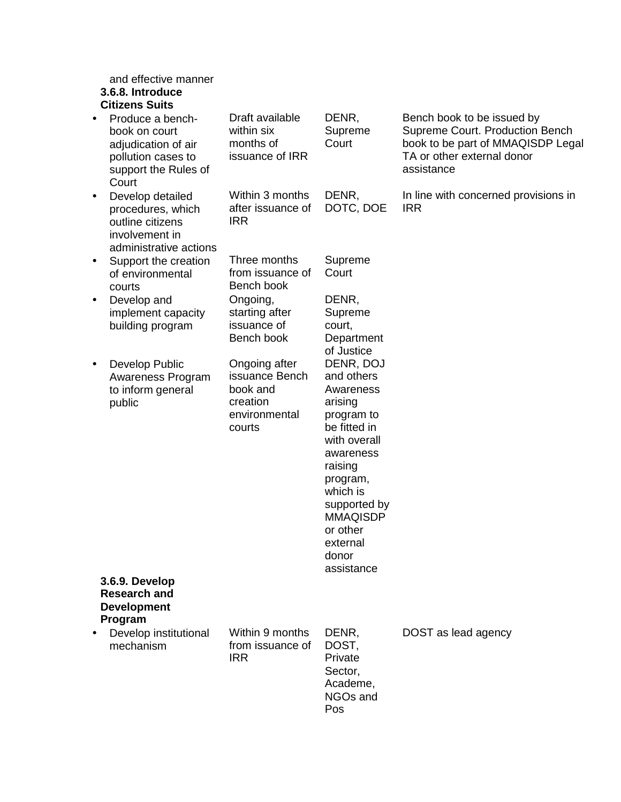and effective manner

# **3.6.8. Introduce**

| <b>Citizens Suits</b> |  |
|-----------------------|--|
|-----------------------|--|

- Produce a benchbook on court adiudication of air pollution cases to support the Rules of Court Draft available
- Develop detailed procedures, which outline citizens involvement in administrative actions
- Support the creation of environmental courts
- Develop and implement capacity building program
- Develop Public Awareness Program to inform general public

within six months of issuance of IRR Within 3 months after issuance of IRR

Three months from issuance of Bench book Ongoing, starting after issuance of

Ongoing after issuance Bench book and creation environmental courts

Bench book

**Court** DENR, DOTC, DOE Supreme **Court** DENR,

DENR, Supreme

Supreme court, Department of Justice DENR, DOJ and others Awareness arising program to be fitted in with overall awareness raising program, which is supported by MMAQISDP or other external donor

Supreme Court. Production Bench book to be part of MMAQISDP Legal TA or other external donor assistance In line with concerned provisions in

Bench book to be issued by

IRR

DOST as lead agency

**3.6.9. Develop Research and Development Program**

• Develop institutional mechanism

Within 9 months from issuance of IRR

DENR, DOST, Private Sector, Academe, NGOs and Pos

assistance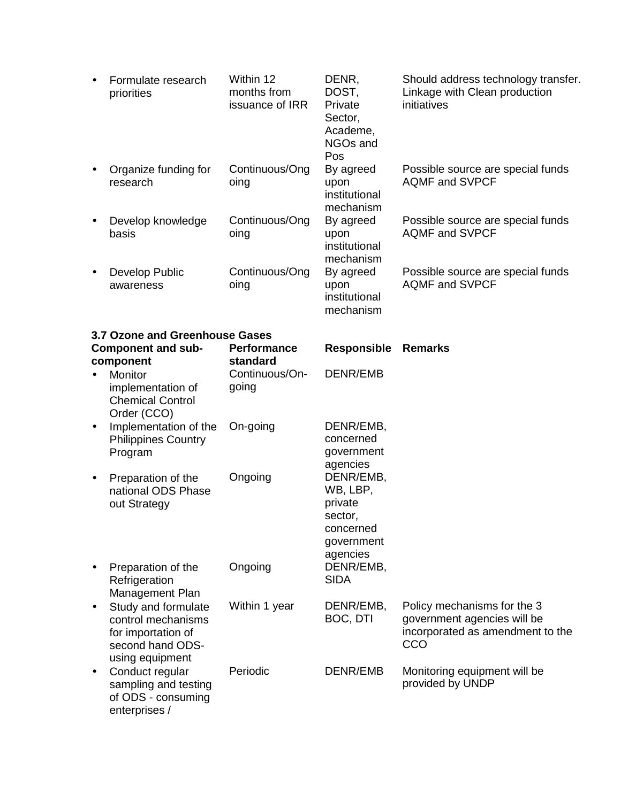| $\bullet$ | Formulate research<br>priorities                                                                       | Within 12<br>months from<br>issuance of IRR | DENR,<br>DOST,<br>Private<br>Sector,<br>Academe,<br>NGOs and<br>Pos                | Should address technology transfer.<br>Linkage with Clean production<br>initiatives                   |
|-----------|--------------------------------------------------------------------------------------------------------|---------------------------------------------|------------------------------------------------------------------------------------|-------------------------------------------------------------------------------------------------------|
|           | Organize funding for<br>research                                                                       | Continuous/Ong<br>oing                      | By agreed<br>upon<br>institutional<br>mechanism                                    | Possible source are special funds<br><b>AQMF and SVPCF</b>                                            |
| $\bullet$ | Develop knowledge<br>basis                                                                             | Continuous/Ong<br>oing                      | By agreed<br>upon<br>institutional<br>mechanism                                    | Possible source are special funds<br><b>AQMF and SVPCF</b>                                            |
|           | Develop Public<br>awareness                                                                            | Continuous/Ong<br>oing                      | By agreed<br>upon<br>institutional<br>mechanism                                    | Possible source are special funds<br><b>AQMF and SVPCF</b>                                            |
|           | 3.7 Ozone and Greenhouse Gases                                                                         |                                             |                                                                                    |                                                                                                       |
|           | <b>Component and sub-</b><br>component                                                                 | Performance<br>standard                     | <b>Responsible</b>                                                                 | <b>Remarks</b>                                                                                        |
| $\bullet$ | Monitor<br>implementation of<br><b>Chemical Control</b><br>Order (CCO)                                 | Continuous/On-<br>going                     | DENR/EMB                                                                           |                                                                                                       |
| $\bullet$ | Implementation of the<br><b>Philippines Country</b><br>Program                                         | On-going                                    | DENR/EMB,<br>concerned<br>government<br>agencies                                   |                                                                                                       |
| $\bullet$ | Preparation of the<br>national ODS Phase<br>out Strategy                                               | Ongoing                                     | DENR/EMB,<br>WB, LBP,<br>private<br>sector,<br>concerned<br>government<br>agencies |                                                                                                       |
|           | Preparation of the<br>Refrigeration<br>Management Plan                                                 | Ongoing                                     | DENR/EMB,<br><b>SIDA</b>                                                           |                                                                                                       |
| $\bullet$ | Study and formulate<br>control mechanisms<br>for importation of<br>second hand ODS-<br>using equipment | Within 1 year                               | DENR/EMB,<br>BOC, DTI                                                              | Policy mechanisms for the 3<br>government agencies will be<br>incorporated as amendment to the<br>CCO |
| $\bullet$ | Conduct regular<br>sampling and testing<br>of ODS - consuming<br>enterprises /                         | Periodic                                    | DENR/EMB                                                                           | Monitoring equipment will be<br>provided by UNDP                                                      |